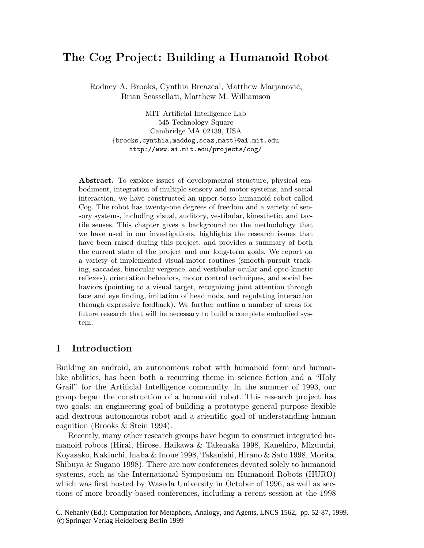# **The Cog Project: Building a Humanoid Robot**

Rodney A. Brooks, Cynthia Breazeal, Matthew Marjanović, Brian Scassellati, Matthew M. Williamson

> MIT Artificial Intelligence Lab 545 Technology Square Cambridge MA 02139, USA {brooks,cynthia,maddog,scaz,matt}@ai.mit.edu http://www.ai.mit.edu/projects/cog/

**Abstract.** To explore issues of developmental structure, physical embodiment, integration of multiple sensory and motor systems, and social interaction, we have constructed an upper-torso humanoid robot called Cog. The robot has twenty-one degrees of freedom and a variety of sensory systems, including visual, auditory, vestibular, kinesthetic, and tactile senses. This chapter gives a background on the methodology that we have used in our investigations, highlights the research issues that have been raised during this project, and provides a summary of both the current state of the project and our long-term goals. We report on a variety of implemented visual-motor routines (smooth-pursuit tracking, saccades, binocular vergence, and vestibular-ocular and opto-kinetic reflexes), orientation behaviors, motor control techniques, and social behaviors (pointing to a visual target, recognizing joint attention through face and eye finding, imitation of head nods, and regulating interaction through expressive feedback). We further outline a number of areas for future research that will be necessary to build a complete embodied system.

# **1 Introduction**

Building an android, an autonomous robot with humanoid form and humanlike abilities, has been both a recurring theme in science fiction and a "Holy Grail" for the Artificial Intelligence community. In the summer of 1993, our group began the construction of a humanoid robot. This research project has two goals: an engineering goal of building a prototype general purpose flexible and dextrous autonomous robot and a scientific goal of understanding human cognition (Brooks & Stein 1994).

Recently, many other research groups have begun to construct integrated humanoid robots (Hirai, Hirose, Haikawa & Takenaka 1998, Kanehiro, Mizuuchi, Koyasako, Kakiuchi, Inaba & Inoue 1998, Takanishi, Hirano & Sato 1998, Morita, Shibuya & Sugano 1998). There are now conferences devoted solely to humanoid systems, such as the International Symposium on Humanoid Robots (HURO) which was first hosted by Waseda University in October of 1996, as well as sections of more broadly-based conferences, including a recent session at the 1998

C. Nehaniv (Ed.): Computation for Metaphors, Analogy, and Agents, LNCS 1562, pp. 52-87, 1999. c Springer-Verlag Heidelberg Berlin 1999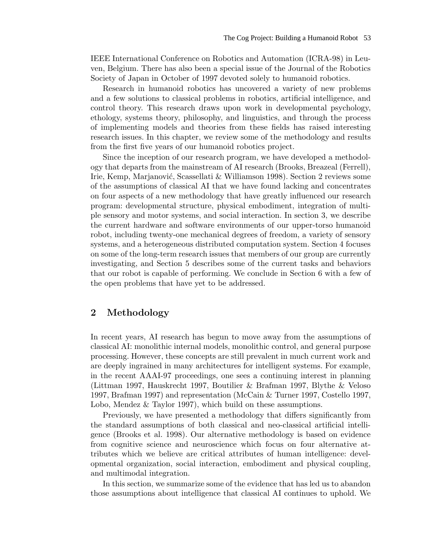IEEE International Conference on Robotics and Automation (ICRA-98) in Leuven, Belgium. There has also been a special issue of the Journal of the Robotics Society of Japan in October of 1997 devoted solely to humanoid robotics.

Research in humanoid robotics has uncovered a variety of new problems and a few solutions to classical problems in robotics, artificial intelligence, and control theory. This research draws upon work in developmental psychology, ethology, systems theory, philosophy, and linguistics, and through the process of implementing models and theories from these fields has raised interesting research issues. In this chapter, we review some of the methodology and results from the first five years of our humanoid robotics project.

Since the inception of our research program, we have developed a methodology that departs from the mainstream of AI research (Brooks, Breazeal (Ferrell), Irie, Kemp, Marjanovi´c, Scassellati & Williamson 1998). Section 2 reviews some of the assumptions of classical AI that we have found lacking and concentrates on four aspects of a new methodology that have greatly influenced our research program: developmental structure, physical embodiment, integration of multiple sensory and motor systems, and social interaction. In section 3, we describe the current hardware and software environments of our upper-torso humanoid robot, including twenty-one mechanical degrees of freedom, a variety of sensory systems, and a heterogeneous distributed computation system. Section 4 focuses on some of the long-term research issues that members of our group are currently investigating, and Section 5 describes some of the current tasks and behaviors that our robot is capable of performing. We conclude in Section 6 with a few of the open problems that have yet to be addressed.

# **2 Methodology**

In recent years, AI research has begun to move away from the assumptions of classical AI: monolithic internal models, monolithic control, and general purpose processing. However, these concepts are still prevalent in much current work and are deeply ingrained in many architectures for intelligent systems. For example, in the recent AAAI-97 proceedings, one sees a continuing interest in planning (Littman 1997, Hauskrecht 1997, Boutilier & Brafman 1997, Blythe & Veloso 1997, Brafman 1997) and representation (McCain & Turner 1997, Costello 1997, Lobo, Mendez & Taylor 1997), which build on these assumptions.

Previously, we have presented a methodology that differs significantly from the standard assumptions of both classical and neo-classical artificial intelligence (Brooks et al. 1998). Our alternative methodology is based on evidence from cognitive science and neuroscience which focus on four alternative attributes which we believe are critical attributes of human intelligence: developmental organization, social interaction, embodiment and physical coupling, and multimodal integration.

In this section, we summarize some of the evidence that has led us to abandon those assumptions about intelligence that classical AI continues to uphold. We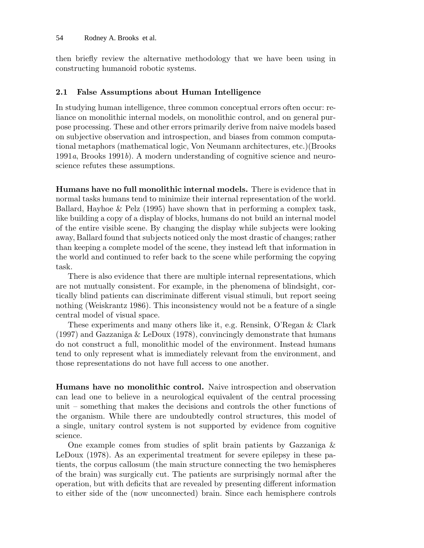then briefly review the alternative methodology that we have been using in constructing humanoid robotic systems.

# **2.1 False Assumptions about Human Intelligence**

In studying human intelligence, three common conceptual errors often occur: reliance on monolithic internal models, on monolithic control, and on general purpose processing. These and other errors primarily derive from naive models based on subjective observation and introspection, and biases from common computational metaphors (mathematical logic, Von Neumann architectures, etc.)(Brooks 1991*a*, Brooks 1991*b*). A modern understanding of cognitive science and neuroscience refutes these assumptions.

**Humans have no full monolithic internal models.** There is evidence that in normal tasks humans tend to minimize their internal representation of the world. Ballard, Hayhoe & Pelz (1995) have shown that in performing a complex task, like building a copy of a display of blocks, humans do not build an internal model of the entire visible scene. By changing the display while subjects were looking away, Ballard found that subjects noticed only the most drastic of changes; rather than keeping a complete model of the scene, they instead left that information in the world and continued to refer back to the scene while performing the copying task.

There is also evidence that there are multiple internal representations, which are not mutually consistent. For example, in the phenomena of blindsight, cortically blind patients can discriminate different visual stimuli, but report seeing nothing (Weiskrantz 1986). This inconsistency would not be a feature of a single central model of visual space.

These experiments and many others like it, e.g. Rensink, O'Regan & Clark  $(1997)$  and Gazzaniga & LeDoux  $(1978)$ , convincingly demonstrate that humans do not construct a full, monolithic model of the environment. Instead humans tend to only represent what is immediately relevant from the environment, and those representations do not have full access to one another.

**Humans have no monolithic control.** Naive introspection and observation can lead one to believe in a neurological equivalent of the central processing unit – something that makes the decisions and controls the other functions of the organism. While there are undoubtedly control structures, this model of a single, unitary control system is not supported by evidence from cognitive science.

One example comes from studies of split brain patients by Gazzaniga & LeDoux (1978). As an experimental treatment for severe epilepsy in these patients, the corpus callosum (the main structure connecting the two hemispheres of the brain) was surgically cut. The patients are surprisingly normal after the operation, but with deficits that are revealed by presenting different information to either side of the (now unconnected) brain. Since each hemisphere controls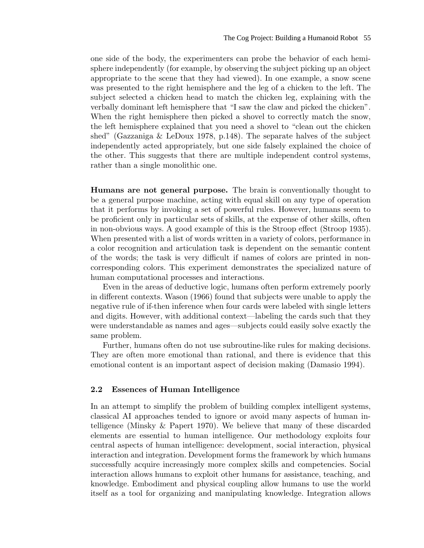one side of the body, the experimenters can probe the behavior of each hemisphere independently (for example, by observing the subject picking up an object appropriate to the scene that they had viewed). In one example, a snow scene was presented to the right hemisphere and the leg of a chicken to the left. The subject selected a chicken head to match the chicken leg, explaining with the verbally dominant left hemisphere that "I saw the claw and picked the chicken". When the right hemisphere then picked a shovel to correctly match the snow, the left hemisphere explained that you need a shovel to "clean out the chicken shed" (Gazzaniga & LeDoux 1978, p.148). The separate halves of the subject independently acted appropriately, but one side falsely explained the choice of the other. This suggests that there are multiple independent control systems, rather than a single monolithic one.

**Humans are not general purpose.** The brain is conventionally thought to be a general purpose machine, acting with equal skill on any type of operation that it performs by invoking a set of powerful rules. However, humans seem to be proficient only in particular sets of skills, at the expense of other skills, often in non-obvious ways. A good example of this is the Stroop effect (Stroop 1935). When presented with a list of words written in a variety of colors, performance in a color recognition and articulation task is dependent on the semantic content of the words; the task is very difficult if names of colors are printed in noncorresponding colors. This experiment demonstrates the specialized nature of human computational processes and interactions.

Even in the areas of deductive logic, humans often perform extremely poorly in different contexts. Wason (1966) found that subjects were unable to apply the negative rule of if-then inference when four cards were labeled with single letters and digits. However, with additional context—labeling the cards such that they were understandable as names and ages—subjects could easily solve exactly the same problem.

Further, humans often do not use subroutine-like rules for making decisions. They are often more emotional than rational, and there is evidence that this emotional content is an important aspect of decision making (Damasio 1994).

#### **2.2 Essences of Human Intelligence**

In an attempt to simplify the problem of building complex intelligent systems, classical AI approaches tended to ignore or avoid many aspects of human intelligence (Minsky & Papert 1970). We believe that many of these discarded elements are essential to human intelligence. Our methodology exploits four central aspects of human intelligence: development, social interaction, physical interaction and integration. Development forms the framework by which humans successfully acquire increasingly more complex skills and competencies. Social interaction allows humans to exploit other humans for assistance, teaching, and knowledge. Embodiment and physical coupling allow humans to use the world itself as a tool for organizing and manipulating knowledge. Integration allows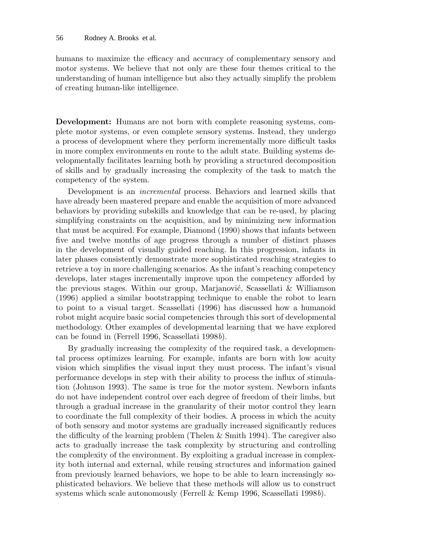humans to maximize the efficacy and accuracy of complementary sensory and motor systems. We believe that not only are these four themes critical to the understanding of human intelligence but also they actually simplify the problem of creating human-like intelligence.

**Development:** Humans are not born with complete reasoning systems, complete motor systems, or even complete sensory systems. Instead, they undergo a process of development where they perform incrementally more difficult tasks in more complex environments en route to the adult state. Building systems developmentally facilitates learning both by providing a structured decomposition of skills and by gradually increasing the complexity of the task to match the competency of the system.

Development is an *incremental* process. Behaviors and learned skills that have already been mastered prepare and enable the acquisition of more advanced behaviors by providing subskills and knowledge that can be re-used, by placing simplifying constraints on the acquisition, and by minimizing new information that must be acquired. For example, Diamond (1990) shows that infants between five and twelve months of age progress through a number of distinct phases in the development of visually guided reaching. In this progression, infants in later phases consistently demonstrate more sophisticated reaching strategies to retrieve a toy in more challenging scenarios. As the infant's reaching competency develops, later stages incrementally improve upon the competency afforded by the previous stages. Within our group, Marjanović, Scassellati  $&$  Williamson (1996) applied a similar bootstrapping technique to enable the robot to learn to point to a visual target. Scassellati (1996) has discussed how a humanoid robot might acquire basic social competencies through this sort of developmental methodology. Other examples of developmental learning that we have explored can be found in (Ferrell 1996, Scassellati 1998*b*).

By gradually increasing the complexity of the required task, a developmental process optimizes learning. For example, infants are born with low acuity vision which simplifies the visual input they must process. The infant's visual performance develops in step with their ability to process the influx of stimulation (Johnson 1993). The same is true for the motor system. Newborn infants do not have independent control over each degree of freedom of their limbs, but through a gradual increase in the granularity of their motor control they learn to coordinate the full complexity of their bodies. A process in which the acuity of both sensory and motor systems are gradually increased significantly reduces the difficulty of the learning problem (Thelen  $\&$  Smith 1994). The caregiver also acts to gradually increase the task complexity by structuring and controlling the complexity of the environment. By exploiting a gradual increase in complexity both internal and external, while reusing structures and information gained from previously learned behaviors, we hope to be able to learn increasingly sophisticated behaviors. We believe that these methods will allow us to construct systems which scale autonomously (Ferrell & Kemp 1996, Scassellati 1998*b*).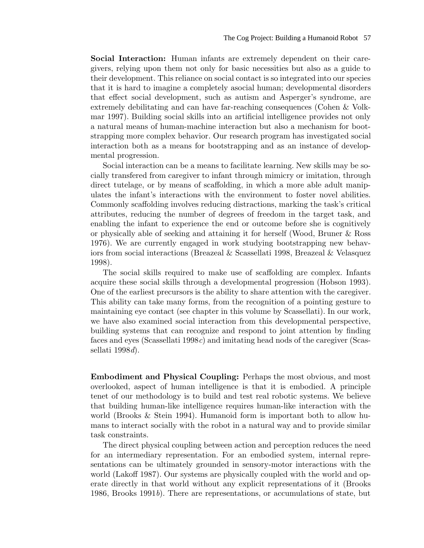**Social Interaction:** Human infants are extremely dependent on their caregivers, relying upon them not only for basic necessities but also as a guide to their development. This reliance on social contact is so integrated into our species that it is hard to imagine a completely asocial human; developmental disorders that effect social development, such as autism and Asperger's syndrome, are extremely debilitating and can have far-reaching consequences (Cohen & Volkmar 1997). Building social skills into an artificial intelligence provides not only a natural means of human-machine interaction but also a mechanism for bootstrapping more complex behavior. Our research program has investigated social interaction both as a means for bootstrapping and as an instance of developmental progression.

Social interaction can be a means to facilitate learning. New skills may be socially transfered from caregiver to infant through mimicry or imitation, through direct tutelage, or by means of scaffolding, in which a more able adult manipulates the infant's interactions with the environment to foster novel abilities. Commonly scaffolding involves reducing distractions, marking the task's critical attributes, reducing the number of degrees of freedom in the target task, and enabling the infant to experience the end or outcome before she is cognitively or physically able of seeking and attaining it for herself (Wood, Bruner & Ross 1976). We are currently engaged in work studying bootstrapping new behaviors from social interactions (Breazeal & Scassellati 1998, Breazeal & Velasquez 1998).

The social skills required to make use of scaffolding are complex. Infants acquire these social skills through a developmental progression (Hobson 1993). One of the earliest precursors is the ability to share attention with the caregiver. This ability can take many forms, from the recognition of a pointing gesture to maintaining eye contact (see chapter in this volume by Scassellati). In our work, we have also examined social interaction from this developmental perspective, building systems that can recognize and respond to joint attention by finding faces and eyes (Scassellati 1998*c*) and imitating head nods of the caregiver (Scassellati 1998*d*).

**Embodiment and Physical Coupling:** Perhaps the most obvious, and most overlooked, aspect of human intelligence is that it is embodied. A principle tenet of our methodology is to build and test real robotic systems. We believe that building human-like intelligence requires human-like interaction with the world (Brooks & Stein 1994). Humanoid form is important both to allow humans to interact socially with the robot in a natural way and to provide similar task constraints.

The direct physical coupling between action and perception reduces the need for an intermediary representation. For an embodied system, internal representations can be ultimately grounded in sensory-motor interactions with the world (Lakoff 1987). Our systems are physically coupled with the world and operate directly in that world without any explicit representations of it (Brooks 1986, Brooks 1991*b*). There are representations, or accumulations of state, but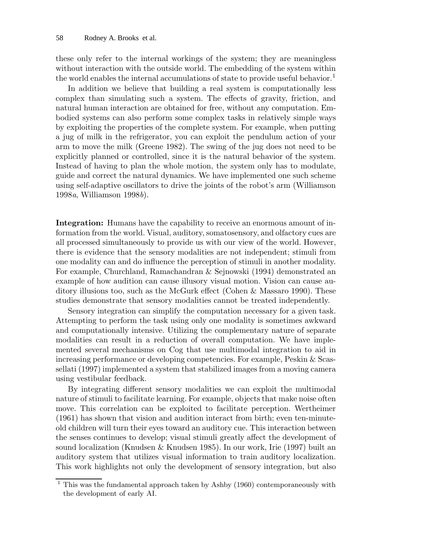these only refer to the internal workings of the system; they are meaningless without interaction with the outside world. The embedding of the system within the world enables the internal accumulations of state to provide useful behavior.<sup>1</sup>

In addition we believe that building a real system is computationally less complex than simulating such a system. The effects of gravity, friction, and natural human interaction are obtained for free, without any computation. Embodied systems can also perform some complex tasks in relatively simple ways by exploiting the properties of the complete system. For example, when putting a jug of milk in the refrigerator, you can exploit the pendulum action of your arm to move the milk (Greene 1982). The swing of the jug does not need to be explicitly planned or controlled, since it is the natural behavior of the system. Instead of having to plan the whole motion, the system only has to modulate, guide and correct the natural dynamics. We have implemented one such scheme using self-adaptive oscillators to drive the joints of the robot's arm (Williamson 1998*a*, Williamson 1998*b*).

**Integration:** Humans have the capability to receive an enormous amount of information from the world. Visual, auditory, somatosensory, and olfactory cues are all processed simultaneously to provide us with our view of the world. However, there is evidence that the sensory modalities are not independent; stimuli from one modality can and do influence the perception of stimuli in another modality. For example, Churchland, Ramachandran & Sejnowski (1994) demonstrated an example of how audition can cause illusory visual motion. Vision can cause auditory illusions too, such as the McGurk effect (Cohen & Massaro 1990). These studies demonstrate that sensory modalities cannot be treated independently.

Sensory integration can simplify the computation necessary for a given task. Attempting to perform the task using only one modality is sometimes awkward and computationally intensive. Utilizing the complementary nature of separate modalities can result in a reduction of overall computation. We have implemented several mechanisms on Cog that use multimodal integration to aid in increasing performance or developing competencies. For example, Peskin & Scassellati (1997) implemented a system that stabilized images from a moving camera using vestibular feedback.

By integrating different sensory modalities we can exploit the multimodal nature of stimuli to facilitate learning. For example, objects that make noise often move. This correlation can be exploited to facilitate perception. Wertheimer (1961) has shown that vision and audition interact from birth; even ten-minuteold children will turn their eyes toward an auditory cue. This interaction between the senses continues to develop; visual stimuli greatly affect the development of sound localization (Knudsen & Knudsen 1985). In our work, Irie (1997) built an auditory system that utilizes visual information to train auditory localization. This work highlights not only the development of sensory integration, but also

 $1$  This was the fundamental approach taken by Ashby (1960) contemporaneously with the development of early AI.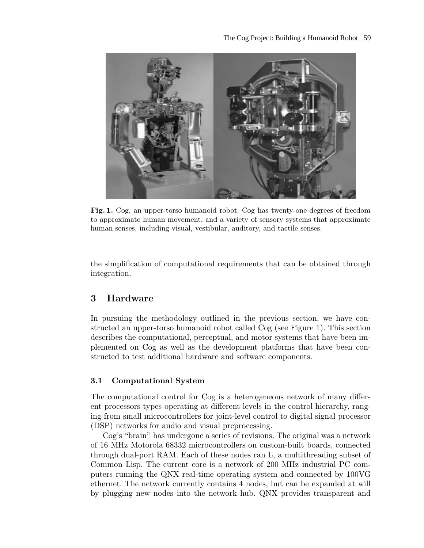

**Fig. 1.** Cog, an upper-torso humanoid robot. Cog has twenty-one degrees of freedom to approximate human movement, and a variety of sensory systems that approximate human senses, including visual, vestibular, auditory, and tactile senses.

the simplification of computational requirements that can be obtained through integration.

# **3 Hardware**

In pursuing the methodology outlined in the previous section, we have constructed an upper-torso humanoid robot called Cog (see Figure 1). This section describes the computational, perceptual, and motor systems that have been implemented on Cog as well as the development platforms that have been constructed to test additional hardware and software components.

# **3.1 Computational System**

The computational control for Cog is a heterogeneous network of many different processors types operating at different levels in the control hierarchy, ranging from small microcontrollers for joint-level control to digital signal processor (DSP) networks for audio and visual preprocessing.

Cog's "brain" has undergone a series of revisions. The original was a network of 16 MHz Motorola 68332 microcontrollers on custom-built boards, connected through dual-port RAM. Each of these nodes ran L, a multithreading subset of Common Lisp. The current core is a network of 200 MHz industrial PC computers running the QNX real-time operating system and connected by 100VG ethernet. The network currently contains 4 nodes, but can be expanded at will by plugging new nodes into the network hub. QNX provides transparent and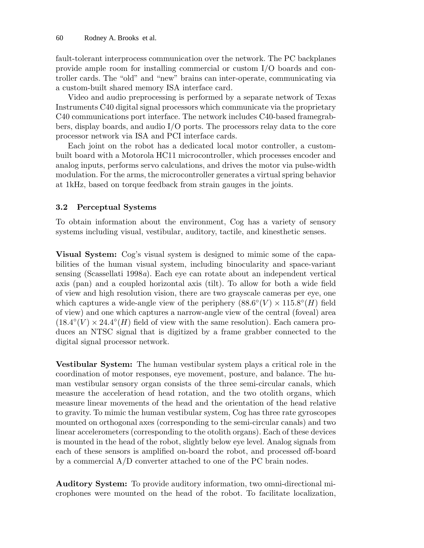fault-tolerant interprocess communication over the network. The PC backplanes provide ample room for installing commercial or custom I/O boards and controller cards. The "old" and "new" brains can inter-operate, communicating via a custom-built shared memory ISA interface card.

Video and audio preprocessing is performed by a separate network of Texas Instruments C40 digital signal processors which communicate via the proprietary C40 communications port interface. The network includes C40-based framegrabbers, display boards, and audio I/O ports. The processors relay data to the core processor network via ISA and PCI interface cards.

Each joint on the robot has a dedicated local motor controller, a custombuilt board with a Motorola HC11 microcontroller, which processes encoder and analog inputs, performs servo calculations, and drives the motor via pulse-width modulation. For the arms, the microcontroller generates a virtual spring behavior at 1kHz, based on torque feedback from strain gauges in the joints.

## **3.2 Perceptual Systems**

To obtain information about the environment, Cog has a variety of sensory systems including visual, vestibular, auditory, tactile, and kinesthetic senses.

**Visual System:** Cog's visual system is designed to mimic some of the capabilities of the human visual system, including binocularity and space-variant sensing (Scassellati 1998*a*). Each eye can rotate about an independent vertical axis (pan) and a coupled horizontal axis (tilt). To allow for both a wide field of view and high resolution vision, there are two grayscale cameras per eye, one which captures a wide-angle view of the periphery  $(88.6°(V) \times 115.8°(H)$  field of view) and one which captures a narrow-angle view of the central (foveal) area  $(18.4°(V) \times 24.4°(H))$  field of view with the same resolution). Each camera produces an NTSC signal that is digitized by a frame grabber connected to the digital signal processor network.

**Vestibular System:** The human vestibular system plays a critical role in the coordination of motor responses, eye movement, posture, and balance. The human vestibular sensory organ consists of the three semi-circular canals, which measure the acceleration of head rotation, and the two otolith organs, which measure linear movements of the head and the orientation of the head relative to gravity. To mimic the human vestibular system, Cog has three rate gyroscopes mounted on orthogonal axes (corresponding to the semi-circular canals) and two linear accelerometers (corresponding to the otolith organs). Each of these devices is mounted in the head of the robot, slightly below eye level. Analog signals from each of these sensors is amplified on-board the robot, and processed off-board by a commercial A/D converter attached to one of the PC brain nodes.

**Auditory System:** To provide auditory information, two omni-directional microphones were mounted on the head of the robot. To facilitate localization,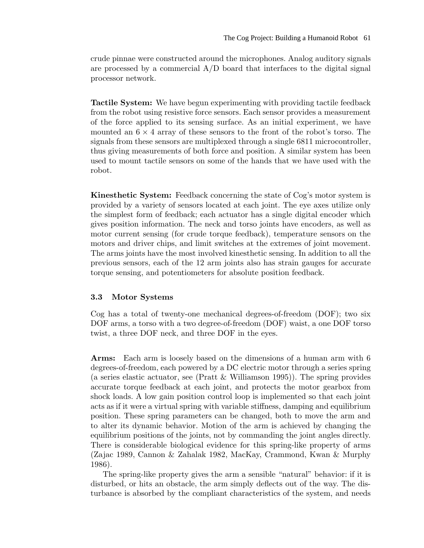crude pinnae were constructed around the microphones. Analog auditory signals are processed by a commercial  $A/D$  board that interfaces to the digital signal processor network.

**Tactile System:** We have begun experimenting with providing tactile feedback from the robot using resistive force sensors. Each sensor provides a measurement of the force applied to its sensing surface. As an initial experiment, we have mounted an  $6 \times 4$  array of these sensors to the front of the robot's torso. The signals from these sensors are multiplexed through a single 6811 microcontroller, thus giving measurements of both force and position. A similar system has been used to mount tactile sensors on some of the hands that we have used with the robot.

**Kinesthetic System:** Feedback concerning the state of Cog's motor system is provided by a variety of sensors located at each joint. The eye axes utilize only the simplest form of feedback; each actuator has a single digital encoder which gives position information. The neck and torso joints have encoders, as well as motor current sensing (for crude torque feedback), temperature sensors on the motors and driver chips, and limit switches at the extremes of joint movement. The arms joints have the most involved kinesthetic sensing. In addition to all the previous sensors, each of the 12 arm joints also has strain gauges for accurate torque sensing, and potentiometers for absolute position feedback.

## **3.3 Motor Systems**

Cog has a total of twenty-one mechanical degrees-of-freedom (DOF); two six DOF arms, a torso with a two degree-of-freedom (DOF) waist, a one DOF torso twist, a three DOF neck, and three DOF in the eyes.

**Arms:** Each arm is loosely based on the dimensions of a human arm with 6 degrees-of-freedom, each powered by a DC electric motor through a series spring (a series elastic actuator, see (Pratt & Williamson 1995)). The spring provides accurate torque feedback at each joint, and protects the motor gearbox from shock loads. A low gain position control loop is implemented so that each joint acts as if it were a virtual spring with variable stiffness, damping and equilibrium position. These spring parameters can be changed, both to move the arm and to alter its dynamic behavior. Motion of the arm is achieved by changing the equilibrium positions of the joints, not by commanding the joint angles directly. There is considerable biological evidence for this spring-like property of arms (Zajac 1989, Cannon & Zahalak 1982, MacKay, Crammond, Kwan & Murphy 1986).

The spring-like property gives the arm a sensible "natural" behavior: if it is disturbed, or hits an obstacle, the arm simply deflects out of the way. The disturbance is absorbed by the compliant characteristics of the system, and needs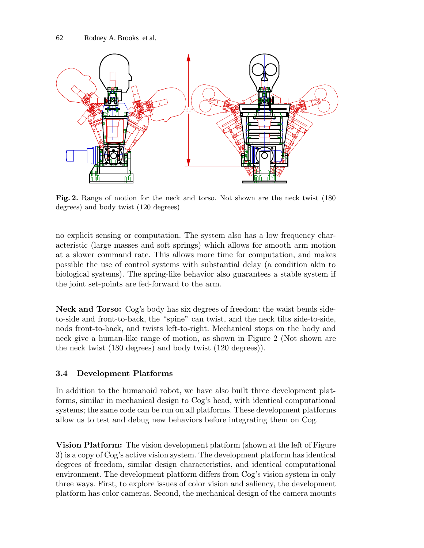

**Fig. 2.** Range of motion for the neck and torso. Not shown are the neck twist (180 degrees) and body twist (120 degrees)

no explicit sensing or computation. The system also has a low frequency characteristic (large masses and soft springs) which allows for smooth arm motion at a slower command rate. This allows more time for computation, and makes possible the use of control systems with substantial delay (a condition akin to biological systems). The spring-like behavior also guarantees a stable system if the joint set-points are fed-forward to the arm.

**Neck and Torso:** Cog's body has six degrees of freedom: the waist bends sideto-side and front-to-back, the "spine" can twist, and the neck tilts side-to-side, nods front-to-back, and twists left-to-right. Mechanical stops on the body and neck give a human-like range of motion, as shown in Figure 2 (Not shown are the neck twist (180 degrees) and body twist (120 degrees)).

## **3.4 Development Platforms**

In addition to the humanoid robot, we have also built three development platforms, similar in mechanical design to Cog's head, with identical computational systems; the same code can be run on all platforms. These development platforms allow us to test and debug new behaviors before integrating them on Cog.

**Vision Platform:** The vision development platform (shown at the left of Figure 3) is a copy of Cog's active vision system. The development platform has identical degrees of freedom, similar design characteristics, and identical computational environment. The development platform differs from Cog's vision system in only three ways. First, to explore issues of color vision and saliency, the development platform has color cameras. Second, the mechanical design of the camera mounts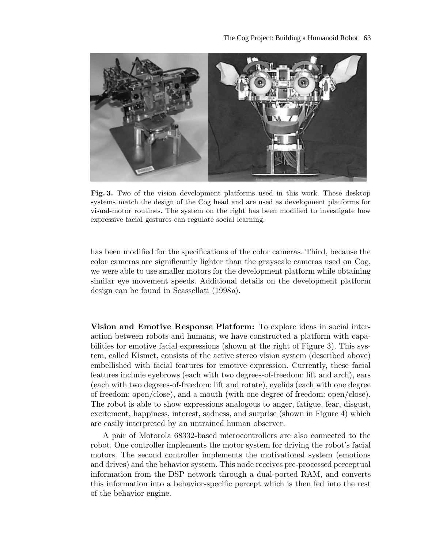

**Fig. 3.** Two of the vision development platforms used in this work. These desktop systems match the design of the Cog head and are used as development platforms for visual-motor routines. The system on the right has been modified to investigate how expressive facial gestures can regulate social learning.

has been modified for the specifications of the color cameras. Third, because the color cameras are significantly lighter than the grayscale cameras used on Cog, we were able to use smaller motors for the development platform while obtaining similar eye movement speeds. Additional details on the development platform design can be found in Scassellati (1998*a*).

**Vision and Emotive Response Platform:** To explore ideas in social interaction between robots and humans, we have constructed a platform with capabilities for emotive facial expressions (shown at the right of Figure 3). This system, called Kismet, consists of the active stereo vision system (described above) embellished with facial features for emotive expression. Currently, these facial features include eyebrows (each with two degrees-of-freedom: lift and arch), ears (each with two degrees-of-freedom: lift and rotate), eyelids (each with one degree of freedom: open/close), and a mouth (with one degree of freedom: open/close). The robot is able to show expressions analogous to anger, fatigue, fear, disgust, excitement, happiness, interest, sadness, and surprise (shown in Figure 4) which are easily interpreted by an untrained human observer.

A pair of Motorola 68332-based microcontrollers are also connected to the robot. One controller implements the motor system for driving the robot's facial motors. The second controller implements the motivational system (emotions and drives) and the behavior system. This node receives pre-processed perceptual information from the DSP network through a dual-ported RAM, and converts this information into a behavior-specific percept which is then fed into the rest of the behavior engine.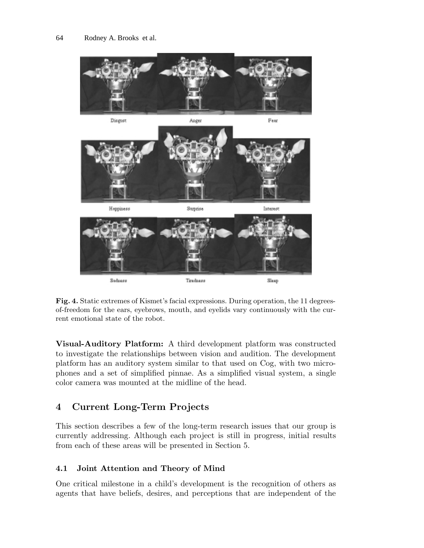

**Fig. 4.** Static extremes of Kismet's facial expressions. During operation, the 11 degreesof-freedom for the ears, eyebrows, mouth, and eyelids vary continuously with the current emotional state of the robot.

Visual-Auditory Platform: A third development platform was constructed to investigate the relationships between vision and audition. The development platform has an auditory system similar to that used on Cog, with two microphones and a set of simplified pinnae. As a simplified visual system, a single color camera was mounted at the midline of the head.

# **4 Current Long-Term Projects**

This section describes a few of the long-term research issues that our group is currently addressing. Although each project is still in progress, initial results from each of these areas will be presented in Section 5.

# **4.1 Joint Attention and Theoryof Mind**

One critical milestone in a child's development is the recognition of others as agents that have beliefs, desires, and perceptions that are independent of the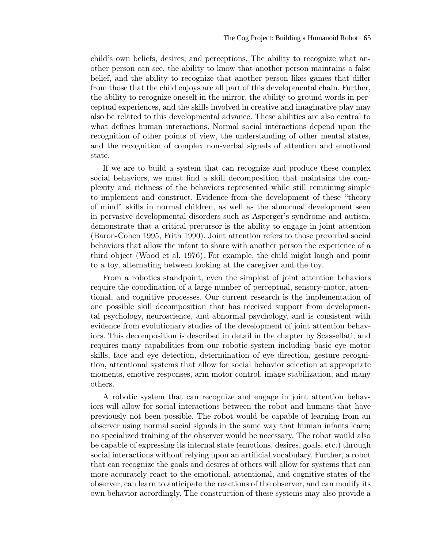child's own beliefs, desires, and perceptions. The ability to recognize what another person can see, the ability to know that another person maintains a false belief, and the ability to recognize that another person likes games that differ from those that the child enjoys are all part of this developmental chain. Further, the ability to recognize oneself in the mirror, the ability to ground words in perceptual experiences, and the skills involved in creative and imaginative play may also be related to this developmental advance. These abilities are also central to what defines human interactions. Normal social interactions depend upon the recognition of other points of view, the understanding of other mental states, and the recognition of complex non-verbal signals of attention and emotional state.

If we are to build a system that can recognize and produce these complex social behaviors, we must find a skill decomposition that maintains the complexity and richness of the behaviors represented while still remaining simple to implement and construct. Evidence from the development of these "theory of mind" skills in normal children, as well as the abnormal development seen in pervasive developmental disorders such as Asperger's syndrome and autism, demonstrate that a critical precursor is the ability to engage in joint attention (Baron-Cohen 1995, Frith 1990). Joint attention refers to those preverbal social behaviors that allow the infant to share with another person the experience of a third object (Wood et al. 1976). For example, the child might laugh and point to a toy, alternating between looking at the caregiver and the toy.

From a robotics standpoint, even the simplest of joint attention behaviors require the coordination of a large number of perceptual, sensory-motor, attentional, and cognitive processes. Our current research is the implementation of one possible skill decomposition that has received support from developmental psychology, neuroscience, and abnormal psychology, and is consistent with evidence from evolutionary studies of the development of joint attention behaviors. This decomposition is described in detail in the chapter by Scassellati, and requires many capabilities from our robotic system including basic eye motor skills, face and eye detection, determination of eye direction, gesture recognition, attentional systems that allow for social behavior selection at appropriate moments, emotive responses, arm motor control, image stabilization, and many others.

A robotic system that can recognize and engage in joint attention behaviors will allow for social interactions between the robot and humans that have previously not been possible. The robot would be capable of learning from an observer using normal social signals in the same way that human infants learn; no specialized training of the observer would be necessary. The robot would also be capable of expressing its internal state (emotions, desires, goals, etc.) through social interactions without relying upon an artificial vocabulary. Further, a robot that can recognize the goals and desires of others will allow for systems that can more accurately react to the emotional, attentional, and cognitive states of the observer, can learn to anticipate the reactions of the observer, and can modify its own behavior accordingly. The construction of these systems may also provide a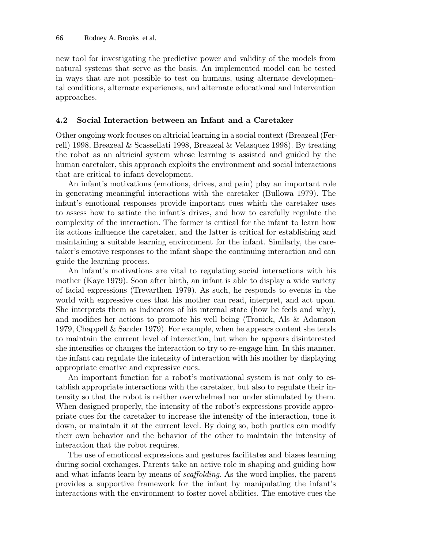new tool for investigating the predictive power and validity of the models from natural systems that serve as the basis. An implemented model can be tested in ways that are not possible to test on humans, using alternate developmental conditions, alternate experiences, and alternate educational and intervention approaches.

#### **4.2 Social Interaction between an Infant and a Caretaker**

Other ongoing work focuses on altricial learning in a social context (Breazeal (Ferrell) 1998, Breazeal & Scassellati 1998, Breazeal & Velasquez 1998). By treating the robot as an altricial system whose learning is assisted and guided by the human caretaker, this approach exploits the environment and social interactions that are critical to infant development.

An infant's motivations (emotions, drives, and pain) play an important role in generating meaningful interactions with the caretaker (Bullowa 1979). The infant's emotional responses provide important cues which the caretaker uses to assess how to satiate the infant's drives, and how to carefully regulate the complexity of the interaction. The former is critical for the infant to learn how its actions influence the caretaker, and the latter is critical for establishing and maintaining a suitable learning environment for the infant. Similarly, the caretaker's emotive responses to the infant shape the continuing interaction and can guide the learning process.

An infant's motivations are vital to regulating social interactions with his mother (Kaye 1979). Soon after birth, an infant is able to display a wide variety of facial expressions (Trevarthen 1979). As such, he responds to events in the world with expressive cues that his mother can read, interpret, and act upon. She interprets them as indicators of his internal state (how he feels and why), and modifies her actions to promote his well being (Tronick, Als & Adamson 1979, Chappell & Sander 1979). For example, when he appears content she tends to maintain the current level of interaction, but when he appears disinterested she intensifies or changes the interaction to try to re-engage him. In this manner, the infant can regulate the intensity of interaction with his mother by displaying appropriate emotive and expressive cues.

An important function for a robot's motivational system is not only to establish appropriate interactions with the caretaker, but also to regulate their intensity so that the robot is neither overwhelmed nor under stimulated by them. When designed properly, the intensity of the robot's expressions provide appropriate cues for the caretaker to increase the intensity of the interaction, tone it down, or maintain it at the current level. By doing so, both parties can modify their own behavior and the behavior of the other to maintain the intensity of interaction that the robot requires.

The use of emotional expressions and gestures facilitates and biases learning during social exchanges. Parents take an active role in shaping and guiding how and what infants learn by means of *scaffolding*. As the word implies, the parent provides a supportive framework for the infant by manipulating the infant's interactions with the environment to foster novel abilities. The emotive cues the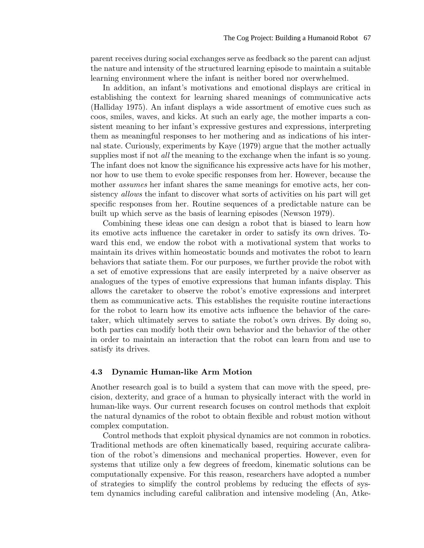parent receives during social exchanges serve as feedback so the parent can adjust the nature and intensity of the structured learning episode to maintain a suitable learning environment where the infant is neither bored nor overwhelmed.

In addition, an infant's motivations and emotional displays are critical in establishing the context for learning shared meanings of communicative acts (Halliday 1975). An infant displays a wide assortment of emotive cues such as coos, smiles, waves, and kicks. At such an early age, the mother imparts a consistent meaning to her infant's expressive gestures and expressions, interpreting them as meaningful responses to her mothering and as indications of his internal state. Curiously, experiments by Kaye (1979) argue that the mother actually supplies most if not *all* the meaning to the exchange when the infant is so young. The infant does not know the significance his expressive acts have for his mother, nor how to use them to evoke specific responses from her. However, because the mother *assumes* her infant shares the same meanings for emotive acts, her consistency *allows* the infant to discover what sorts of activities on his part will get specific responses from her. Routine sequences of a predictable nature can be built up which serve as the basis of learning episodes (Newson 1979).

Combining these ideas one can design a robot that is biased to learn how its emotive acts influence the caretaker in order to satisfy its own drives. Toward this end, we endow the robot with a motivational system that works to maintain its drives within homeostatic bounds and motivates the robot to learn behaviors that satiate them. For our purposes, we further provide the robot with a set of emotive expressions that are easily interpreted by a naive observer as analogues of the types of emotive expressions that human infants display. This allows the caretaker to observe the robot's emotive expressions and interpret them as communicative acts. This establishes the requisite routine interactions for the robot to learn how its emotive acts influence the behavior of the caretaker, which ultimately serves to satiate the robot's own drives. By doing so, both parties can modify both their own behavior and the behavior of the other in order to maintain an interaction that the robot can learn from and use to satisfy its drives.

## **4.3 Dynamic Human-like Arm Motion**

Another research goal is to build a system that can move with the speed, precision, dexterity, and grace of a human to physically interact with the world in human-like ways. Our current research focuses on control methods that exploit the natural dynamics of the robot to obtain flexible and robust motion without complex computation.

Control methods that exploit physical dynamics are not common in robotics. Traditional methods are often kinematically based, requiring accurate calibration of the robot's dimensions and mechanical properties. However, even for systems that utilize only a few degrees of freedom, kinematic solutions can be computationally expensive. For this reason, researchers have adopted a number of strategies to simplify the control problems by reducing the effects of system dynamics including careful calibration and intensive modeling (An, Atke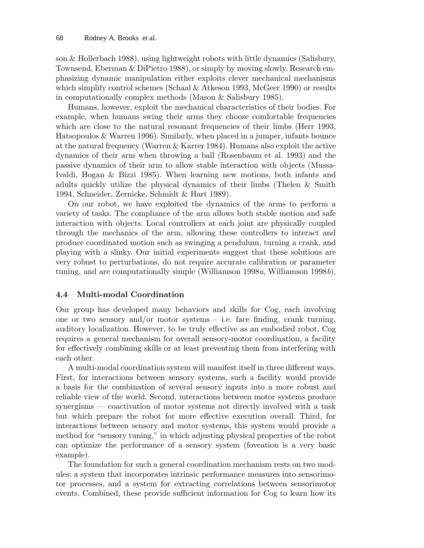son & Hollerbach 1988), using lightweight robots with little dynamics (Salisbury, Townsend, Eberman & DiPietro 1988), or simply by moving slowly. Research emphasizing dynamic manipulation either exploits clever mechanical mechanisms which simplify control schemes (Schaal  $\&$  Atkeson 1993, McGeer 1990) or results in computationally complex methods (Mason & Salisbury 1985).

Humans, however, exploit the mechanical characteristics of their bodies. For example, when humans swing their arms they choose comfortable frequencies which are close to the natural resonant frequencies of their limbs (Herr 1993, Hatsopoulos & Warren 1996). Similarly, when placed in a jumper, infants bounce at the natural frequency (Warren & Karrer 1984). Humans also exploit the active dynamics of their arm when throwing a ball (Rosenbaum et al. 1993) and the passive dynamics of their arm to allow stable interaction with objects (Mussa-Ivaldi, Hogan & Bizzi 1985). When learning new motions, both infants and adults quickly utilize the physical dynamics of their limbs (Thelen & Smith 1994, Schneider, Zernicke, Schmidt & Hart 1989).

On our robot, we have exploited the dynamics of the arms to perform a variety of tasks. The compliance of the arm allows both stable motion and safe interaction with objects. Local controllers at each joint are physically coupled through the mechanics of the arm, allowing these controllers to interact and produce coordinated motion such as swinging a pendulum, turning a crank, and playing with a slinky. Our initial experiments suggest that these solutions are very robust to perturbations, do not require accurate calibration or parameter tuning, and are computationally simple (Williamson 1998*a*, Williamson 1998*b*).

## **4.4 Multi-modal Coordination**

Our group has developed many behaviors and skills for Cog, each involving one or two sensory and/or motor systems  $-$  i.e. face finding, crank turning, auditory localization. However, to be truly effective as an embodied robot, Cog requires a general mechanism for overall sensory-motor coordination, a facility for effectively combining skills or at least preventing them from interfering with each other.

A multi-modal coordination system will manifest itself in three different ways. First, for interactions between sensory systems, such a facility would provide a basis for the combination of several sensory inputs into a more robust and reliable view of the world. Second, interactions between motor systems produce synergisms — coactivation of motor systems not directly involved with a task but which prepare the robot for more effective execution overall. Third, for interactions between sensory and motor systems, this system would provide a method for "sensory tuning," in which adjusting physical properties of the robot can optimize the performance of a sensory system (foveation is a very basic example).

The foundation for such a general coordination mechanism rests on two modules: a system that incorporates intrinsic performance measures into sensorimotor processes, and a system for extracting correlations between sensorimotor events. Combined, these provide sufficient information for Cog to learn how its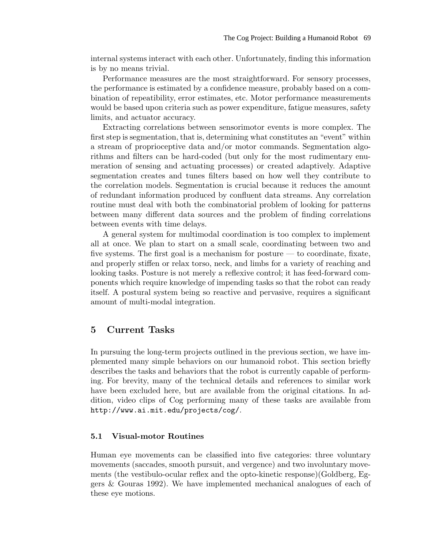internal systems interact with each other. Unfortunately, finding this information is by no means trivial.

Performance measures are the most straightforward. For sensory processes, the performance is estimated by a confidence measure, probably based on a combination of repeatibility, error estimates, etc. Motor performance measurements would be based upon criteria such as power expenditure, fatigue measures, safety limits, and actuator accuracy.

Extracting correlations between sensorimotor events is more complex. The first step is segmentation, that is, determining what constitutes an "event" within a stream of proprioceptive data and/or motor commands. Segmentation algorithms and filters can be hard-coded (but only for the most rudimentary enumeration of sensing and actuating processes) or created adaptively. Adaptive segmentation creates and tunes filters based on how well they contribute to the correlation models. Segmentation is crucial because it reduces the amount of redundant information produced by confluent data streams. Any correlation routine must deal with both the combinatorial problem of looking for patterns between many different data sources and the problem of finding correlations between events with time delays.

A general system for multimodal coordination is too complex to implement all at once. We plan to start on a small scale, coordinating between two and five systems. The first goal is a mechanism for posture — to coordinate, fixate, and properly stiffen or relax torso, neck, and limbs for a variety of reaching and looking tasks. Posture is not merely a reflexive control; it has feed-forward components which require knowledge of impending tasks so that the robot can ready itself. A postural system being so reactive and pervasive, requires a significant amount of multi-modal integration.

# **5 Current Tasks**

In pursuing the long-term projects outlined in the previous section, we have implemented many simple behaviors on our humanoid robot. This section briefly describes the tasks and behaviors that the robot is currently capable of performing. For brevity, many of the technical details and references to similar work have been excluded here, but are available from the original citations. In addition, video clips of Cog performing many of these tasks are available from http://www.ai.mit.edu/projects/cog/.

## **5.1 Visual-motor Routines**

Human eye movements can be classified into five categories: three voluntary movements (saccades, smooth pursuit, and vergence) and two involuntary movements (the vestibulo-ocular reflex and the opto-kinetic response)(Goldberg, Eggers & Gouras 1992). We have implemented mechanical analogues of each of these eye motions.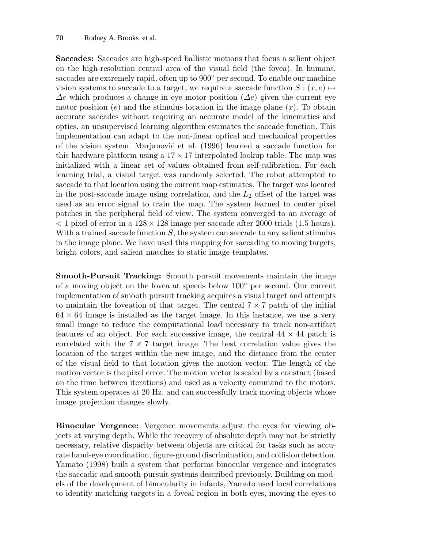**Saccades:** Saccades are high-speed ballistic motions that focus a salient object on the high-resolution central area of the visual field (the fovea). In humans, saccades are extremely rapid, often up to 900° per second. To enable our machine vision systems to saccade to a target, we require a saccade function  $S: (x, e) \mapsto$ <br>  $Ae$  which produces a change in event of position  $(Ae)$  given the current eve  $\Delta e$  which produces a change in eye motor position ( $\Delta e$ ) given the current eye motor position  $(e)$  and the stimulus location in the image plane  $(x)$ . To obtain accurate saccades without requiring an accurate model of the kinematics and optics, an unsupervised learning algorithm estimates the saccade function. This implementation can adapt to the non-linear optical and mechanical properties of the vision system. Marjanovi´c et al. (1996) learned a saccade function for this hardware platform using a  $17 \times 17$  interpolated lookup table. The map was initialized with a linear set of values obtained from self-calibration. For each learning trial, a visual target was randomly selected. The robot attempted to saccade to that location using the current map estimates. The target was located in the post-saccade image using correlation, and the  $L_2$  offset of the target was used as an error signal to train the map. The system learned to center pixel patches in the peripheral field of view. The system converged to an average of  $<$  1 pixel of error in a 128  $\times$  128 image per saccade after 2000 trials (1.5 hours). With a trained saccade function  $S$ , the system can saccade to any salient stimulus in the image plane. We have used this mapping for saccading to moving targets, bright colors, and salient matches to static image templates.

**Smooth-Pursuit Tracking:** Smooth pursuit movements maintain the image of a moving object on the fovea at speeds below 100◦ per second. Our current implementation of smooth pursuit tracking acquires a visual target and attempts to maintain the foveation of that target. The central  $7 \times 7$  patch of the initial  $64 \times 64$  image is installed as the target image. In this instance, we use a very small image to reduce the computational load necessary to track non-artifact features of an object. For each successive image, the central  $44 \times 44$  patch is correlated with the  $7 \times 7$  target image. The best correlation value gives the location of the target within the new image, and the distance from the center of the visual field to that location gives the motion vector. The length of the motion vector is the pixel error. The motion vector is scaled by a constant (based on the time between iterations) and used as a velocity command to the motors. This system operates at 20 Hz. and can successfully track moving objects whose image projection changes slowly.

**Binocular Vergence:** Vergence movements adjust the eyes for viewing objects at varying depth. While the recovery of absolute depth may not be strictly necessary, relative disparity between objects are critical for tasks such as accurate hand-eye coordination, figure-ground discrimination, and collision detection. Yamato (1998) built a system that performs binocular vergence and integrates the saccadic and smooth-pursuit systems described previously. Building on models of the development of binocularity in infants, Yamato used local correlations to identify matching targets in a foveal region in both eyes, moving the eyes to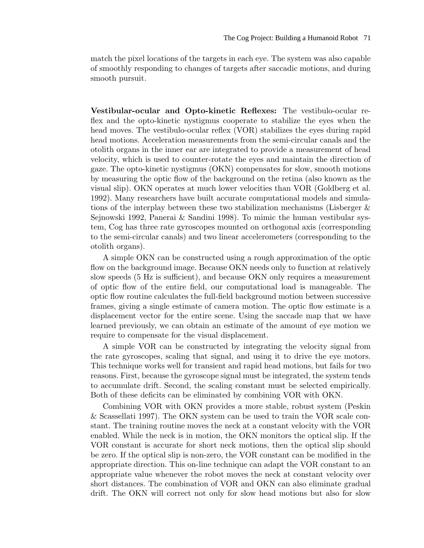match the pixel locations of the targets in each eye. The system was also capable of smoothly responding to changes of targets after saccadic motions, and during smooth pursuit.

**Vestibular-ocular and Opto-kinetic Reflexes:** The vestibulo-ocular reflex and the opto-kinetic nystigmus cooperate to stabilize the eyes when the head moves. The vestibulo-ocular reflex (VOR) stabilizes the eyes during rapid head motions. Acceleration measurements from the semi-circular canals and the otolith organs in the inner ear are integrated to provide a measurement of head velocity, which is used to counter-rotate the eyes and maintain the direction of gaze. The opto-kinetic nystigmus (OKN) compensates for slow, smooth motions by measuring the optic flow of the background on the retina (also known as the visual slip). OKN operates at much lower velocities than VOR (Goldberg et al. 1992). Many researchers have built accurate computational models and simulations of the interplay between these two stabilization mechanisms (Lisberger & Sejnowski 1992, Panerai & Sandini 1998). To mimic the human vestibular system, Cog has three rate gyroscopes mounted on orthogonal axis (corresponding to the semi-circular canals) and two linear accelerometers (corresponding to the otolith organs).

A simple OKN can be constructed using a rough approximation of the optic flow on the background image. Because OKN needs only to function at relatively slow speeds (5 Hz is sufficient), and because OKN only requires a measurement of optic flow of the entire field, our computational load is manageable. The optic flow routine calculates the full-field background motion between successive frames, giving a single estimate of camera motion. The optic flow estimate is a displacement vector for the entire scene. Using the saccade map that we have learned previously, we can obtain an estimate of the amount of eye motion we require to compensate for the visual displacement.

A simple VOR can be constructed by integrating the velocity signal from the rate gyroscopes, scaling that signal, and using it to drive the eye motors. This technique works well for transient and rapid head motions, but fails for two reasons. First, because the gyroscope signal must be integrated, the system tends to accumulate drift. Second, the scaling constant must be selected empirically. Both of these deficits can be eliminated by combining VOR with OKN.

Combining VOR with OKN provides a more stable, robust system (Peskin & Scassellati 1997). The OKN system can be used to train the VOR scale constant. The training routine moves the neck at a constant velocity with the VOR enabled. While the neck is in motion, the OKN monitors the optical slip. If the VOR constant is accurate for short neck motions, then the optical slip should be zero. If the optical slip is non-zero, the VOR constant can be modified in the appropriate direction. This on-line technique can adapt the VOR constant to an appropriate value whenever the robot moves the neck at constant velocity over short distances. The combination of VOR and OKN can also eliminate gradual drift. The OKN will correct not only for slow head motions but also for slow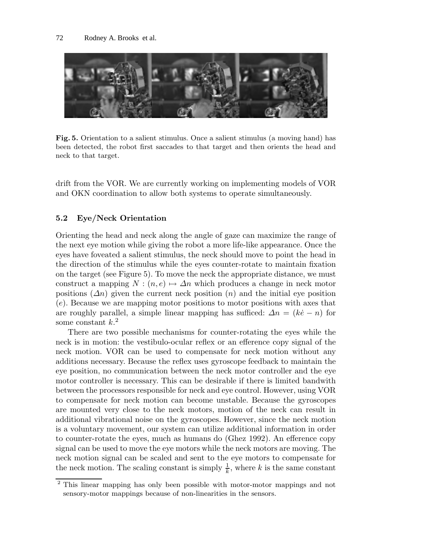

**Fig. 5.** Orientation to a salient stimulus. Once a salient stimulus (a moving hand) has been detected, the robot first saccades to that target and then orients the head and neck to that target.

drift from the VOR. We are currently working on implementing models of VOR and OKN coordination to allow both systems to operate simultaneously.

#### **5.2 Eye/Neck Orientation**

Orienting the head and neck along the angle of gaze can maximize the range of the next eye motion while giving the robot a more life-like appearance. Once the eyes have foveated a salient stimulus, the neck should move to point the head in the direction of the stimulus while the eyes counter-rotate to maintain fixation on the target (see Figure 5). To move the neck the appropriate distance, we must construct a mapping  $N : (n, e) \mapsto \Delta n$  which produces a change in neck motor<br>positions  $(\Delta n)$  given the current neck position  $(n)$  and the initial ave position positions  $(\Delta n)$  given the current neck position  $(n)$  and the initial eye position (e). Because we are mapping motor positions to motor positions with axes that are roughly parallel, a simple linear mapping has sufficed:  $\Delta n = (k\dot{e} - n)$  for some constant  $k^2$ .<br>There are two

There are two possible mechanisms for counter-rotating the eyes while the neck is in motion: the vestibulo-ocular reflex or an efference copy signal of the neck motion. VOR can be used to compensate for neck motion without any additions necessary. Because the reflex uses gyroscope feedback to maintain the eye position, no communication between the neck motor controller and the eye motor controller is necessary. This can be desirable if there is limited bandwith between the processors responsible for neck and eye control. However, using VOR to compensate for neck motion can become unstable. Because the gyroscopes are mounted very close to the neck motors, motion of the neck can result in additional vibrational noise on the gyroscopes. However, since the neck motion is a voluntary movement, our system can utilize additional information in order to counter-rotate the eyes, much as humans do (Ghez 1992). An efference copy signal can be used to move the eye motors while the neck motors are moving. The neck motion signal can be scaled and sent to the eye motors to compensate for the neck motion. The scaling constant is simply  $\frac{1}{k}$ , where k is the same constant

<sup>2</sup> This linear mapping has only been possible with motor-motor mappings and not sensory-motor mappings because of non-linearities in the sensors.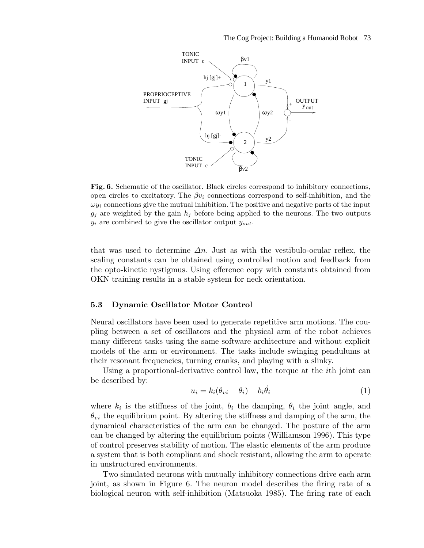

**Fig. 6.** Schematic of the oscillator. Black circles correspond to inhibitory connections, open circles to excitatory. The  $\beta v_i$  connections correspond to self-inhibition, and the  $\omega y_i$  connections give the mutual inhibition. The positive and negative parts of the input  $g_i$  are weighted by the gain  $h_i$  before being applied to the neurons. The two outputs  $y_i$  are combined to give the oscillator output  $y_{out}$ .

that was used to determine  $\Delta n$ . Just as with the vestibulo-ocular reflex, the scaling constants can be obtained using controlled motion and feedback from the opto-kinetic nystigmus. Using efference copy with constants obtained from OKN training results in a stable system for neck orientation.

#### **5.3 Dynamic Oscillator Motor Control**

Neural oscillators have been used to generate repetitive arm motions. The coupling between a set of oscillators and the physical arm of the robot achieves many different tasks using the same software architecture and without explicit models of the arm or environment. The tasks include swinging pendulums at their resonant frequencies, turning cranks, and playing with a slinky.

Using a proportional-derivative control law, the torque at the *i*th joint can be described by:

$$
u_i = k_i(\theta_{vi} - \theta_i) - b_i \dot{\theta}_i
$$
\n(1)

where  $k_i$  is the stiffness of the joint,  $b_i$  the damping,  $\theta_i$  the joint angle, and  $\theta_{vi}$  the equilibrium point. By altering the stiffness and damping of the arm, the dynamical characteristics of the arm can be changed. The posture of the arm can be changed by altering the equilibrium points (Williamson 1996). This type of control preserves stability of motion. The elastic elements of the arm produce a system that is both compliant and shock resistant, allowing the arm to operate in unstructured environments.

Two simulated neurons with mutually inhibitory connections drive each arm joint, as shown in Figure 6. The neuron model describes the firing rate of a biological neuron with self-inhibition (Matsuoka 1985). The firing rate of each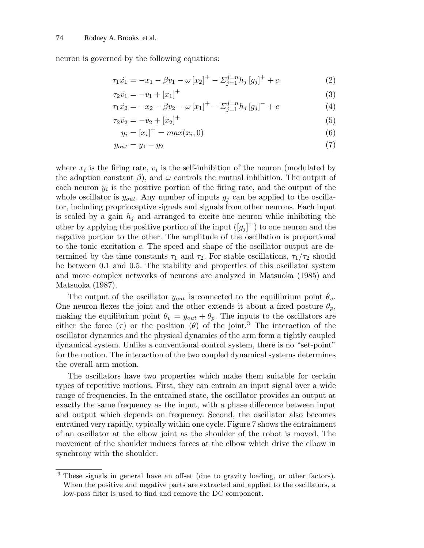neuron is governed by the following equations:

$$
\tau_1 \dot{x}_1 = -x_1 - \beta v_1 - \omega \left[ x_2 \right]^+ - \sum_{j=1}^{j=n} h_j \left[ g_j \right]^+ + c \tag{2}
$$

$$
\tau_2 \dot{v}_1 = -v_1 + [x_1]^+ \tag{3}
$$

$$
\tau_1 \dot{x}_2 = -x_2 - \beta v_2 - \omega \left[ x_1 \right]^+ - \sum_{j=1}^{j=n} h_j \left[ g_j \right]^+ + c \tag{4}
$$

$$
\tau_2 \dot{v}_2 = -v_2 + [x_2]^+ \tag{5}
$$

$$
y_i = [x_i]^+ = max(x_i, 0)
$$
\n(6)

$$
y_{out} = y_1 - y_2 \tag{7}
$$

where  $x_i$  is the firing rate,  $v_i$  is the self-inhibition of the neuron (modulated by the adaption constant  $\beta$ ), and  $\omega$  controls the mutual inhibition. The output of each neuron  $y_i$  is the positive portion of the firing rate, and the output of the whole oscillator is  $y_{out}$ . Any number of inputs  $g_j$  can be applied to the oscillator, including proprioceptive signals and signals from other neurons. Each input is scaled by a gain  $h_i$  and arranged to excite one neuron while inhibiting the other by applying the positive portion of the input  $([g_j]^+)$  to one neuron and the negative portion to the other. The applitude of the oscillation is proportional negative portion to the other. The amplitude of the oscillation is proportional to the tonic excitation c. The speed and shape of the oscillator output are determined by the time constants  $\tau_1$  and  $\tau_2$ . For stable oscillations,  $\tau_1/\tau_2$  should be between 0.1 and 0.5. The stability and properties of this oscillator system and more complex networks of neurons are analyzed in Matsuoka (1985) and Matsuoka (1987).

The output of the oscillator  $y_{out}$  is connected to the equilibrium point  $\theta_v$ . One neuron flexes the joint and the other extends it about a fixed posture  $\theta_p$ , making the equilibrium point  $\theta_v = y_{out} + \theta_p$ . The inputs to the oscillators are either the force  $(\tau)$  or the position  $(\theta)$  of the joint.<sup>3</sup> The interaction of the oscillator dynamics and the physical dynamics of the arm form a tightly coupled dynamical system. Unlike a conventional control system, there is no "set-point" for the motion. The interaction of the two coupled dynamical systems determines the overall arm motion.

The oscillators have two properties which make them suitable for certain types of repetitive motions. First, they can entrain an input signal over a wide range of frequencies. In the entrained state, the oscillator provides an output at exactly the same frequency as the input, with a phase difference between input and output which depends on frequency. Second, the oscillator also becomes entrained very rapidly, typically within one cycle. Figure 7 shows the entrainment of an oscillator at the elbow joint as the shoulder of the robot is moved. The movement of the shoulder induces forces at the elbow which drive the elbow in synchrony with the shoulder.

<sup>3</sup> These signals in general have an offset (due to gravity loading, or other factors). When the positive and negative parts are extracted and applied to the oscillators, a low-pass filter is used to find and remove the DC component.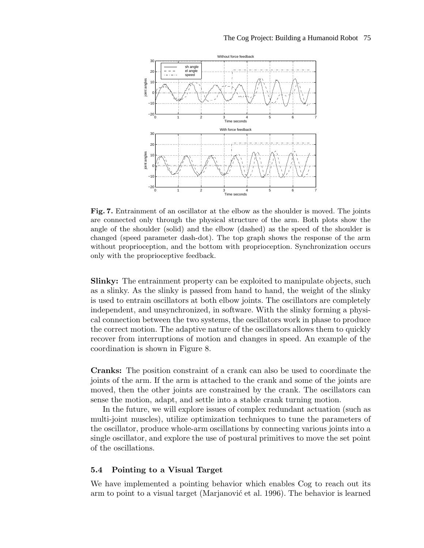

**Fig. 7.** Entrainment of an oscillator at the elbow as the shoulder is moved. The joints are connected only through the physical structure of the arm. Both plots show the angle of the shoulder (solid) and the elbow (dashed) as the speed of the shoulder is changed (speed parameter dash-dot). The top graph shows the response of the arm without proprioception, and the bottom with proprioception. Synchronization occurs only with the proprioceptive feedback.

**Slinky:** The entrainment property can be exploited to manipulate objects, such as a slinky. As the slinky is passed from hand to hand, the weight of the slinky is used to entrain oscillators at both elbow joints. The oscillators are completely independent, and unsynchronized, in software. With the slinky forming a physical connection between the two systems, the oscillators work in phase to produce the correct motion. The adaptive nature of the oscillators allows them to quickly recover from interruptions of motion and changes in speed. An example of the coordination is shown in Figure 8.

**Cranks:** The position constraint of a crank can also be used to coordinate the joints of the arm. If the arm is attached to the crank and some of the joints are moved, then the other joints are constrained by the crank. The oscillators can sense the motion, adapt, and settle into a stable crank turning motion.

In the future, we will explore issues of complex redundant actuation (such as multi-joint muscles), utilize optimization techniques to tune the parameters of the oscillator, produce whole-arm oscillations by connecting various joints into a single oscillator, and explore the use of postural primitives to move the set point of the oscillations.

#### **5.4 Pointing to a Visual Target**

We have implemented a pointing behavior which enables Cog to reach out its arm to point to a visual target (Marjanović et al. 1996). The behavior is learned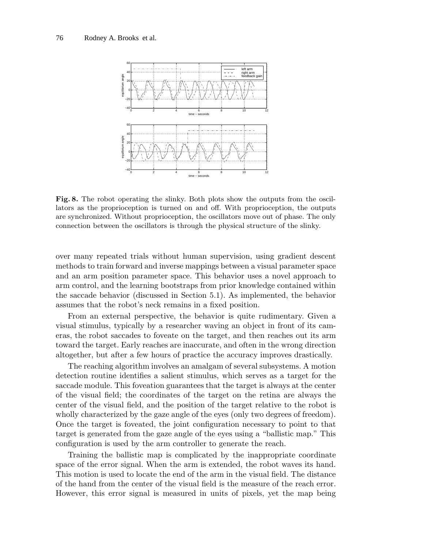

**Fig. 8.** The robot operating the slinky. Both plots show the outputs from the oscillators as the proprioception is turned on and off. With proprioception, the outputs are synchronized. Without proprioception, the oscillators move out of phase. The only connection between the oscillators is through the physical structure of the slinky.

over many repeated trials without human supervision, using gradient descent methods to train forward and inverse mappings between a visual parameter space and an arm position parameter space. This behavior uses a novel approach to arm control, and the learning bootstraps from prior knowledge contained within the saccade behavior (discussed in Section 5.1). As implemented, the behavior assumes that the robot's neck remains in a fixed position.

From an external perspective, the behavior is quite rudimentary. Given a visual stimulus, typically by a researcher waving an ob ject in front of its cameras, the robot saccades to foveate on the target, and then reaches out its arm toward the target. Early reaches are inaccurate, and often in the wrong direction altogether, but after a few hours of practice the accuracy improves drastically.

The reaching algorithm involves an amalgam of several subsystems. A motion detection routine identifies a salient stimulus, which serves as a target for the saccade module. This foveation guarantees that the target is always at the center of the visual field; the coordinates of the target on the retina are always the center of the visual field, and the position of the target relative to the robot is wholly characterized by the gaze angle of the eyes (only two degrees of freedom). Once the target is foveated, the joint configuration necessary to point to that target is generated from the gaze angle of the eyes using a "ballistic map." This configuration is used by the arm controller to generate the reach.

Training the ballistic map is complicated by the inappropriate coordinate space of the error signal. When the arm is extended, the robot waves its hand. This motion is used to locate the end of the arm in the visual field. The distance of the hand from the center of the visual field is the measure of the reach error. However, this error signal is measured in units of pixels, yet the map being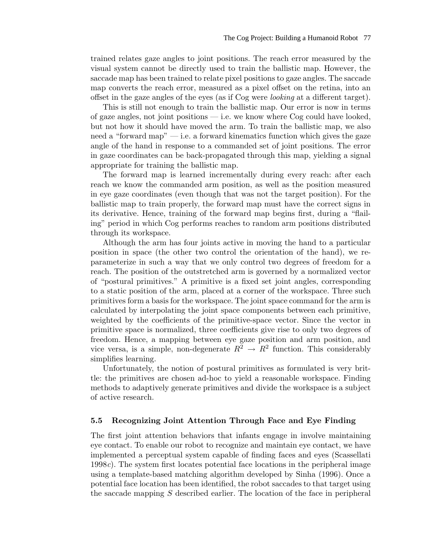trained relates gaze angles to joint positions. The reach error measured by the visual system cannot be directly used to train the ballistic map. However, the saccade map has been trained to relate pixel positions to gaze angles. The saccade map converts the reach error, measured as a pixel offset on the retina, into an offset in the gaze angles of the eyes (as if Cog were *looking* at a different target).

This is still not enough to train the ballistic map. Our error is now in terms of gaze angles, not joint positions — i.e. we know where Cog could have looked, but not how it should have moved the arm. To train the ballistic map, we also need a "forward map"  $-$  i.e. a forward kinematics function which gives the gaze angle of the hand in response to a commanded set of joint positions. The error in gaze coordinates can be back-propagated through this map, yielding a signal appropriate for training the ballistic map.

The forward map is learned incrementally during every reach: after each reach we know the commanded arm position, as well as the position measured in eye gaze coordinates (even though that was not the target position). For the ballistic map to train properly, the forward map must have the correct signs in its derivative. Hence, training of the forward map begins first, during a "flailing" period in which Cog performs reaches to random arm positions distributed through its workspace.

Although the arm has four joints active in moving the hand to a particular position in space (the other two control the orientation of the hand), we reparameterize in such a way that we only control two degrees of freedom for a reach. The position of the outstretched arm is governed by a normalized vector of "postural primitives." A primitive is a fixed set joint angles, corresponding to a static position of the arm, placed at a corner of the workspace. Three such primitives form a basis for the workspace. The joint space command for the arm is calculated by interpolating the joint space components between each primitive, weighted by the coefficients of the primitive-space vector. Since the vector in primitive space is normalized, three coefficients give rise to only two degrees of freedom. Hence, a mapping between eye gaze position and arm position, and vice versa, is a simple, non-degenerate  $R^2 \rightarrow R^2$  function. This considerably simplifies learning.

Unfortunately, the notion of postural primitives as formulated is very brittle: the primitives are chosen ad-hoc to yield a reasonable workspace. Finding methods to adaptively generate primitives and divide the workspace is a subject of active research.

#### **5.5 Recognizing Joint Attention Through Face and Eye Finding**

The first joint attention behaviors that infants engage in involve maintaining eye contact. To enable our robot to recognize and maintain eye contact, we have implemented a perceptual system capable of finding faces and eyes (Scassellati 1998*c*). The system first locates potential face locations in the peripheral image using a template-based matching algorithm developed by Sinha (1996). Once a potential face location has been identified, the robot saccades to that target using the saccade mapping S described earlier. The location of the face in peripheral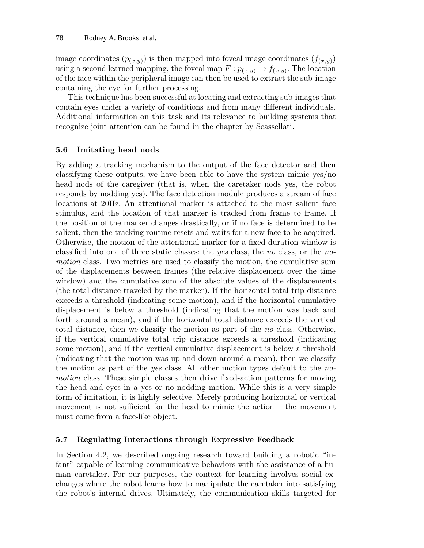image coordinates  $(p_{(x,y)})$  is then mapped into foveal image coordinates  $(f_{(x,y)})$ using a second learned mapping, the foveal map  $F: p_{(x,y)} \mapsto f_{(x,y)}$ . The location<br>of the face within the peripheral image can then be used to extract the sub-image of the face within the peripheral image can then be used to extract the sub-image containing the eye for further processing.

This technique has been successful at locating and extracting sub-images that contain eyes under a variety of conditions and from many different individuals. Additional information on this task and its relevance to building systems that recognize joint attention can be found in the chapter by Scassellati.

## **5.6 Imitating head nods**

By adding a tracking mechanism to the output of the face detector and then classifying these outputs, we have been able to have the system mimic yes/no head nods of the caregiver (that is, when the caretaker nods yes, the robot responds by nodding yes). The face detection module produces a stream of face locations at 20Hz. An attentional marker is attached to the most salient face stimulus, and the location of that marker is tracked from frame to frame. If the position of the marker changes drastically, or if no face is determined to be salient, then the tracking routine resets and waits for a new face to be acquired. Otherwise, the motion of the attentional marker for a fixed-duration window is classified into one of three static classes: the *yes* class, the *no* class, or the *nomotion* class. Two metrics are used to classify the motion, the cumulative sum of the displacements between frames (the relative displacement over the time window) and the cumulative sum of the absolute values of the displacements (the total distance traveled by the marker). If the horizontal total trip distance exceeds a threshold (indicating some motion), and if the horizontal cumulative displacement is below a threshold (indicating that the motion was back and forth around a mean), and if the horizontal total distance exceeds the vertical total distance, then we classify the motion as part of the *no* class. Otherwise, if the vertical cumulative total trip distance exceeds a threshold (indicating some motion), and if the vertical cumulative displacement is below a threshold (indicating that the motion was up and down around a mean), then we classify the motion as part of the *yes* class. All other motion types default to the *nomotion* class. These simple classes then drive fixed-action patterns for moving the head and eyes in a yes or no nodding motion. While this is a very simple form of imitation, it is highly selective. Merely producing horizontal or vertical movement is not sufficient for the head to mimic the action – the movement must come from a face-like object.

## **5.7 Regulating Interactions through Expressive Feedback**

In Section 4.2, we described ongoing research toward building a robotic "infant" capable of learning communicative behaviors with the assistance of a human caretaker. For our purposes, the context for learning involves social exchanges where the robot learns how to manipulate the caretaker into satisfying the robot's internal drives. Ultimately, the communication skills targeted for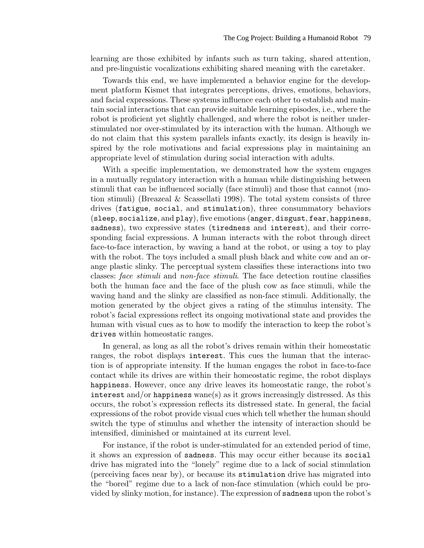learning are those exhibited by infants such as turn taking, shared attention, and pre-linguistic vocalizations exhibiting shared meaning with the caretaker.

Towards this end, we have implemented a behavior engine for the development platform Kismet that integrates perceptions, drives, emotions, behaviors, and facial expressions. These systems influence each other to establish and maintain social interactions that can provide suitable learning episodes, i.e., where the robot is proficient yet slightly challenged, and where the robot is neither understimulated nor over-stimulated by its interaction with the human. Although we do not claim that this system parallels infants exactly, its design is heavily inspired by the role motivations and facial expressions play in maintaining an appropriate level of stimulation during social interaction with adults.

With a specific implementation, we demonstrated how the system engages in a mutually regulatory interaction with a human while distinguishing between stimuli that can be influenced socially (face stimuli) and those that cannot (motion stimuli) (Breazeal & Scassellati 1998). The total system consists of three drives (fatigue, social, and stimulation), three consummatory behaviors (sleep, socialize, and play), five emotions (anger, disgust, fear, happiness, sadness), two expressive states (tiredness and interest), and their corresponding facial expressions. A human interacts with the robot through direct face-to-face interaction, by waving a hand at the robot, or using a toy to play with the robot. The toys included a small plush black and white cow and an orange plastic slinky. The perceptual system classifies these interactions into two classes: *face stimuli* and *non-face stimuli*. The face detection routine classifies both the human face and the face of the plush cow as face stimuli, while the waving hand and the slinky are classified as non-face stimuli. Additionally, the motion generated by the object gives a rating of the stimulus intensity. The robot's facial expressions reflect its ongoing motivational state and provides the human with visual cues as to how to modify the interaction to keep the robot's drives within homeostatic ranges.

In general, as long as all the robot's drives remain within their homeostatic ranges, the robot displays interest. This cues the human that the interaction is of appropriate intensity. If the human engages the robot in face-to-face contact while its drives are within their homeostatic regime, the robot displays happiness. However, once any drive leaves its homeostatic range, the robot's interest and/or happiness wane(s) as it grows increasingly distressed. As this occurs, the robot's expression reflects its distressed state. In general, the facial expressions of the robot provide visual cues which tell whether the human should switch the type of stimulus and whether the intensity of interaction should be intensified, diminished or maintained at its current level.

For instance, if the robot is under-stimulated for an extended period of time, it shows an expression of sadness. This may occur either because its social drive has migrated into the "lonely" regime due to a lack of social stimulation (perceiving faces near by), or because its stimulation drive has migrated into the "bored" regime due to a lack of non-face stimulation (which could be provided by slinky motion, for instance). The expression of sadness upon the robot's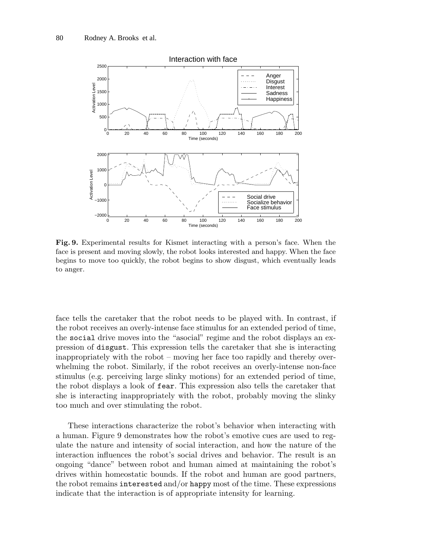

**Fig. 9.** Experimental results for Kismet interacting with a person's face. When the face is present and moving slowly, the robot looks interested and happy. When the face begins to move too quickly, the robot begins to show disgust, which eventually leads to anger.

face tells the caretaker that the robot needs to be played with. In contrast, if the robot receives an overly-intense face stimulus for an extended period of time, the social drive moves into the "asocial" regime and the robot displays an expression of disgust. This expression tells the caretaker that she is interacting inappropriately with the robot – moving her face too rapidly and thereby overwhelming the robot. Similarly, if the robot receives an overly-intense non-face stimulus (e.g. perceiving large slinky motions) for an extended period of time, the robot displays a look of fear. This expression also tells the caretaker that she is interacting inappropriately with the robot, probably moving the slinky too much and over stimulating the robot.

These interactions characterize the robot's behavior when interacting with a human. Figure 9 demonstrates how the robot's emotive cues are used to regulate the nature and intensity of social interaction, and how the nature of the interaction influences the robot's social drives and behavior. The result is an ongoing "dance" between robot and human aimed at maintaining the robot's drives within homeostatic bounds. If the robot and human are good partners, the robot remains interested and/or happy most of the time. These expressions indicate that the interaction is of appropriate intensity for learning.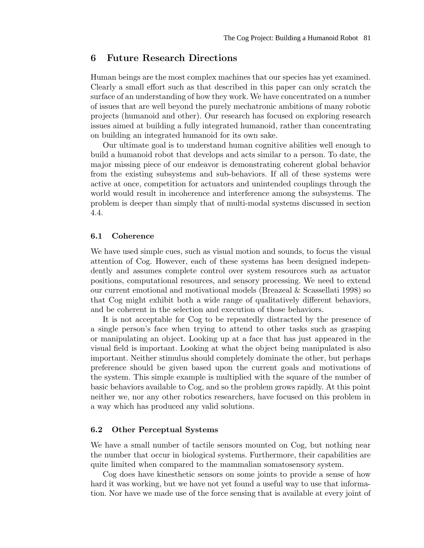# **6 Future Research Directions**

Human beings are the most complex machines that our species has yet examined. Clearly a small effort such as that described in this paper can only scratch the surface of an understanding of how they work. We have concentrated on a number of issues that are well beyond the purely mechatronic ambitions of many robotic projects (humanoid and other). Our research has focused on exploring research issues aimed at building a fully integrated humanoid, rather than concentrating on building an integrated humanoid for its own sake.

Our ultimate goal is to understand human cognitive abilities well enough to build a humanoid robot that develops and acts similar to a person. To date, the major missing piece of our endeavor is demonstrating coherent global behavior from the existing subsystems and sub-behaviors. If all of these systems were active at once, competition for actuators and unintended couplings through the world would result in incoherence and interference among the subsystems. The problem is deeper than simply that of multi-modal systems discussed in section 4.4.

#### **6.1 Coherence**

We have used simple cues, such as visual motion and sounds, to focus the visual attention of Cog. However, each of these systems has been designed independently and assumes complete control over system resources such as actuator positions, computational resources, and sensory processing. We need to extend our current emotional and motivational models (Breazeal & Scassellati 1998) so that Cog might exhibit both a wide range of qualitatively different behaviors, and be coherent in the selection and execution of those behaviors.

It is not acceptable for Cog to be repeatedly distracted by the presence of a single person's face when trying to attend to other tasks such as grasping or manipulating an object. Looking up at a face that has just appeared in the visual field is important. Looking at what the object being manipulated is also important. Neither stimulus should completely dominate the other, but perhaps preference should be given based upon the current goals and motivations of the system. This simple example is multiplied with the square of the number of basic behaviors available to Cog, and so the problem grows rapidly. At this point neither we, nor any other robotics researchers, have focused on this problem in a way which has produced any valid solutions.

#### **6.2 Other Perceptual Systems**

We have a small number of tactile sensors mounted on Cog, but nothing near the number that occur in biological systems. Furthermore, their capabilities are quite limited when compared to the mammalian somatosensory system.

Cog does have kinesthetic sensors on some joints to provide a sense of how hard it was working, but we have not yet found a useful way to use that information. Nor have we made use of the force sensing that is available at every joint of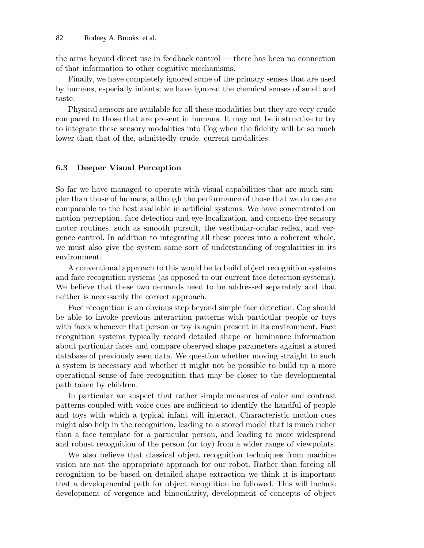the arms beyond direct use in feedback control — there has been no connection of that information to other cognitive mechanisms.

Finally, we have completely ignored some of the primary senses that are used by humans, especially infants; we have ignored the chemical senses of smell and taste.

Physical sensors are available for all these modalities but they are very crude compared to those that are present in humans. It may not be instructive to try to integrate these sensory modalities into Cog when the fidelity will be so much lower than that of the, admittedly crude, current modalities.

## **6.3 Deeper Visual Perception**

So far we have managed to operate with visual capabilities that are much simpler than those of humans, although the performance of those that we do use are comparable to the best available in artificial systems. We have concentrated on motion perception, face detection and eye localization, and content-free sensory motor routines, such as smooth pursuit, the vestibular-ocular reflex, and vergence control. In addition to integrating all these pieces into a coherent whole, we must also give the system some sort of understanding of regularities in its environment.

A conventional approach to this would be to build object recognition systems and face recognition systems (as opposed to our current face detection systems). We believe that these two demands need to be addressed separately and that neither is necessarily the correct approach.

Face recognition is an obvious step beyond simple face detection. Cog should be able to invoke previous interaction patterns with particular people or toys with faces whenever that person or toy is again present in its environment. Face recognition systems typically record detailed shape or luminance information about particular faces and compare observed shape parameters against a stored database of previously seen data. We question whether moving straight to such a system is necessary and whether it might not be possible to build up a more operational sense of face recognition that may be closer to the developmental path taken by children.

In particular we suspect that rather simple measures of color and contrast patterns coupled with voice cues are sufficient to identify the handful of people and toys with which a typical infant will interact. Characteristic motion cues might also help in the recognition, leading to a stored model that is much richer than a face template for a particular person, and leading to more widespread and robust recognition of the person (or toy) from a wider range of viewpoints.

We also believe that classical object recognition techniques from machine vision are not the appropriate approach for our robot. Rather than forcing all recognition to be based on detailed shape extraction we think it is important that a developmental path for object recognition be followed. This will include development of vergence and binocularity, development of concepts of object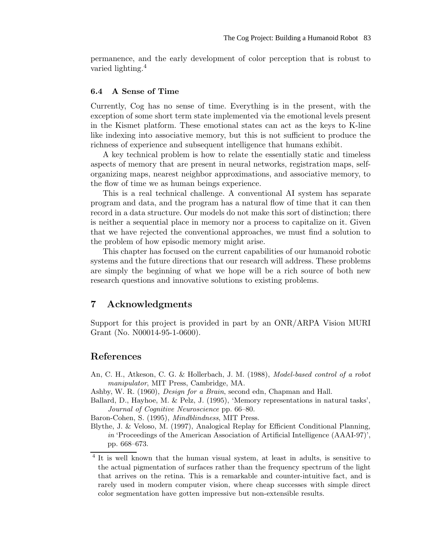permanence, and the early development of color perception that is robust to varied lighting.<sup>4</sup>

#### **6.4 A Sense of Time**

Currently, Cog has no sense of time. Everything is in the present, with the exception of some short term state implemented via the emotional levels present in the Kismet platform. These emotional states can act as the keys to K-line like indexing into associative memory, but this is not sufficient to produce the richness of experience and subsequent intelligence that humans exhibit.

A key technical problem is how to relate the essentially static and timeless aspects of memory that are present in neural networks, registration maps, selforganizing maps, nearest neighbor approximations, and associative memory, to the flow of time we as human beings experience.

This is a real technical challenge. A conventional AI system has separate program and data, and the program has a natural flow of time that it can then record in a data structure. Our models do not make this sort of distinction; there is neither a sequential place in memory nor a process to capitalize on it. Given that we have rejected the conventional approaches, we must find a solution to the problem of how episodic memory might arise.

This chapter has focused on the current capabilities of our humanoid robotic systems and the future directions that our research will address. These problems are simply the beginning of what we hope will be a rich source of both new research questions and innovative solutions to existing problems.

## **7 Acknowledgments**

Support for this project is provided in part by an ONR/ARPA Vision MURI Grant (No. N00014-95-1-0600).

## **References**

- An, C. H., Atkeson, C. G. & Hollerbach, J. M. (1988), Model-based control of a robot manipulator, MIT Press, Cambridge, MA.
- Ashby, W. R. (1960), Design for a Brain, second edn, Chapman and Hall.
- Ballard, D., Hayhoe, M. & Pelz, J. (1995), 'Memory representations in natural tasks', Journal of Cognitive Neuroscience pp. 66–80.

Baron-Cohen, S. (1995), Mindblindness, MIT Press.

Blythe, J. & Veloso, M. (1997), Analogical Replay for Efficient Conditional Planning, in 'Proceedings of the American Association of Artificial Intelligence (AAAI-97)', pp. 668–673.

<sup>&</sup>lt;sup>4</sup> It is well known that the human visual system, at least in adults, is sensitive to the actual pigmentation of surfaces rather than the frequency spectrum of the light that arrives on the retina. This is a remarkable and counter-intuitive fact, and is rarely used in modern computer vision, where cheap successes with simple direct color segmentation have gotten impressive but non-extensible results.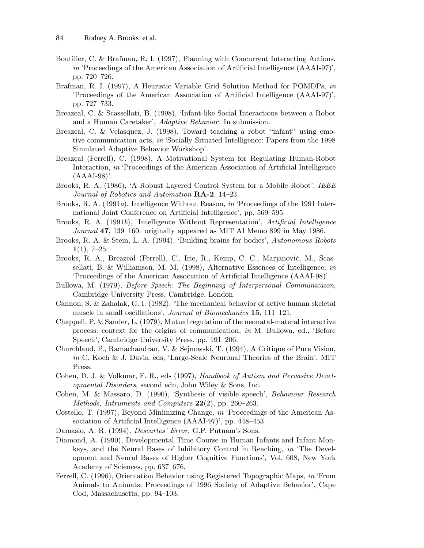- Boutilier, C. & Brafman, R. I. (1997), Planning with Concurrent Interacting Actions, in 'Proceedings of the American Association of Artificial Intelligence (AAAI-97)', pp. 720–726.
- Brafman, R. I. (1997), A Heuristic Variable Grid Solution Method for POMDPs, in 'Proceedings of the American Association of Artificial Intelligence (AAAI-97)', pp. 727–733.
- Breazeal, C. & Scassellati, B. (1998), 'Infant-like Social Interactions between a Robot and a Human Caretaker', Adaptive Behavior. In submission.
- Breazeal, C. & Velasquez, J. (1998), Toward teaching a robot "infant" using emotive communication acts, in 'Socially Situated Intelligence: Papers from the 1998 Simulated Adaptive Behavior Workshop'.
- Breazeal (Ferrell), C. (1998), A Motivational System for Regulating Human-Robot Interaction, in 'Proceedings of the American Association of Artificial Intelligence  $(AAAI-98)$ .
- Brooks, R. A. (1986), 'A Robust Layered Control System for a Mobile Robot', IEEE Journal of Robotics and Automation **RA-2**, 14–23.
- Brooks, R. A. (1991a), Intelligence Without Reason, in 'Proceedings of the 1991 International Joint Conference on Artificial Intelligence', pp. 569–595.
- Brooks, R. A. (1991b), 'Intelligence Without Representation', Artificial Intelligence Journal **47**, 139–160. originally appeared as MIT AI Memo 899 in May 1986.
- Brooks, R. A. & Stein, L. A. (1994), 'Building brains for bodies', Autonomous Robots **1**(1), 7–25.
- Brooks, R. A., Breazeal (Ferrell), C., Irie, R., Kemp, C. C., Marjanović, M., Scassellati, B. & Williamson, M. M. (1998), Alternative Essences of Intelligence, in 'Proceedings of the American Association of Artificial Intelligence (AAAI-98)'.
- Bullowa, M. (1979), Before Speech: The Beginning of Interpersonal Communicaion, Cambridge University Press, Cambridge, London.
- Cannon, S. & Zahalak, G. I. (1982), 'The mechanical behavior of active human skeletal muscle in small oscillations', Journal of Biomechanics **15**, 111–121.
- Chappell, P. & Sander, L. (1979), Mutual regulation of the neonatal-materal interactive process: context for the origins of communication, in M. Bullowa, ed., 'Before Speech', Cambridge University Press, pp. 191–206.
- Churchland, P., Ramachandran, V. & Sejnowski, T. (1994), A Critique of Pure Vision, in C. Koch & J. Davis, eds, 'Large-Scale Neuronal Theories of the Brain', MIT Press.
- Cohen, D. J. & Volkmar, F. R., eds (1997), Handbook of Autism and Pervasive Developmental Disorders, second edn, John Wiley & Sons, Inc.
- Cohen, M. & Massaro, D. (1990), 'Synthesis of visible speech', Behaviour Research Methods, Intruments and Computers **22**(2), pp. 260–263.
- Costello, T. (1997), Beyond Minimizing Change, in 'Proceedings of the American Association of Artificial Intelligence (AAAI-97)', pp. 448–453.
- Damasio, A. R. (1994), *Descartes' Error*, G.P. Putnam's Sons.
- Diamond, A. (1990), Developmental Time Course in Human Infants and Infant Monkeys, and the Neural Bases of Inhibitory Control in Reaching, in 'The Development and Neural Bases of Higher Cognitive Functions', Vol. 608, New York Academy of Sciences, pp. 637–676.
- Ferrell, C. (1996), Orientation Behavior using Registered Topographic Maps, in 'From Animals to Animats: Proceedings of 1996 Society of Adaptive Behavior', Cape Cod, Massachusetts, pp. 94–103.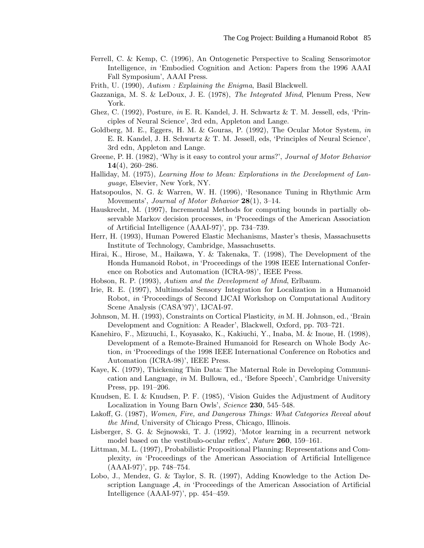- Ferrell, C. & Kemp, C. (1996), An Ontogenetic Perspective to Scaling Sensorimotor Intelligence, in 'Embodied Cognition and Action: Papers from the 1996 AAAI Fall Symposium', AAAI Press.
- Frith, U. (1990), Autism : Explaining the Enigma, Basil Blackwell.
- Gazzaniga, M. S. & LeDoux, J. E. (1978), The Integrated Mind, Plenum Press, New York.
- Ghez, C. (1992), Posture, in E. R. Kandel, J. H. Schwartz & T. M. Jessell, eds, 'Principles of Neural Science', 3rd edn, Appleton and Lange.
- Goldberg, M. E., Eggers, H. M. & Gouras, P. (1992), The Ocular Motor System, in E. R. Kandel, J. H. Schwartz & T. M. Jessell, eds, 'Principles of Neural Science', 3rd edn, Appleton and Lange.
- Greene, P. H. (1982), 'Why is it easy to control your arms?', Journal of Motor Behavior **14**(4), 260–286.
- Halliday, M. (1975), Learning How to Mean: Explorations in the Development of Language, Elsevier, New York, NY.
- Hatsopoulos, N. G. & Warren, W. H. (1996), 'Resonance Tuning in Rhythmic Arm Movements', Journal of Motor Behavior **28**(1), 3–14.
- Hauskrecht, M. (1997), Incremental Methods for computing bounds in partially observable Markov decision processes, in 'Proceedings of the American Association of Artificial Intelligence (AAAI-97)', pp. 734–739.
- Herr, H. (1993), Human Powered Elastic Mechanisms, Master's thesis, Massachusetts Institute of Technology, Cambridge, Massachusetts.
- Hirai, K., Hirose, M., Haikawa, Y. & Takenaka, T. (1998), The Development of the Honda Humanoid Robot, in 'Proceedings of the 1998 IEEE International Conference on Robotics and Automation (ICRA-98)', IEEE Press.
- Hobson, R. P. (1993), Autism and the Development of Mind, Erlbaum.
- Irie, R. E. (1997), Multimodal Sensory Integration for Localization in a Humanoid Robot, in 'Proceedings of Second IJCAI Workshop on Computational Auditory Scene Analysis (CASA'97)', IJCAI-97.
- Johnson, M. H. (1993), Constraints on Cortical Plasticity, in M. H. Johnson, ed., 'Brain Development and Cognition: A Reader', Blackwell, Oxford, pp. 703–721.
- Kanehiro, F., Mizuuchi, I., Koyasako, K., Kakiuchi, Y., Inaba, M. & Inoue, H. (1998), Development of a Remote-Brained Humanoid for Research on Whole Body Action, in 'Proceedings of the 1998 IEEE International Conference on Robotics and Automation (ICRA-98)', IEEE Press.
- Kaye, K. (1979), Thickening Thin Data: The Maternal Role in Developing Communication and Language, in M. Bullowa, ed., 'Before Speech', Cambridge University Press, pp. 191–206.
- Knudsen, E. I. & Knudsen, P. F. (1985), 'Vision Guides the Adjustment of Auditory Localization in Young Barn Owls', Science **230**, 545–548.
- Lakoff, G. (1987), Women, Fire, and Dangerous Things: What Categories Reveal about the Mind, University of Chicago Press, Chicago, Illinois.
- Lisberger, S. G. & Sejnowski, T. J. (1992), 'Motor learning in a recurrent network model based on the vestibulo-ocular reflex', Nature **260**, 159–161.
- Littman, M. L. (1997), Probabilistic Propositional Planning: Representations and Complexity, in 'Proceedings of the American Association of Artificial Intelligence (AAAI-97)', pp. 748–754.
- Lobo, J., Mendez, G. & Taylor, S. R. (1997), Adding Knowledge to the Action Description Language  $A$ , in 'Proceedings of the American Association of Artificial Intelligence (AAAI-97)', pp. 454–459.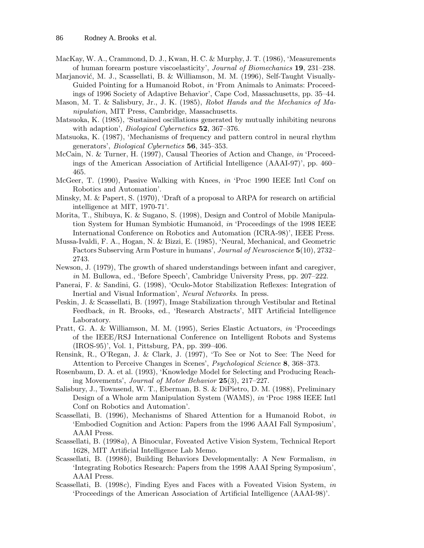- MacKay, W. A., Crammond, D. J., Kwan, H. C. & Murphy, J. T. (1986), 'Measurements of human forearm posture viscoelasticity', Journal of Biomechanics **19**, 231–238.
- Marjanović, M. J., Scassellati, B. & Williamson, M. M. (1996), Self-Taught Visually-Guided Pointing for a Humanoid Robot, in 'From Animals to Animats: Proceedings of 1996 Society of Adaptive Behavior', Cape Cod, Massachusetts, pp. 35–44.
- Mason, M. T. & Salisbury, Jr., J. K. (1985), Robot Hands and the Mechanics of Manipulation, MIT Press, Cambridge, Massachusetts.
- Matsuoka, K. (1985), 'Sustained oscillations generated by mutually inhibiting neurons with adaption', Biological Cybernetics **52**, 367–376.
- Matsuoka, K. (1987), 'Mechanisms of frequency and pattern control in neural rhythm generators', Biological Cybernetics **56**, 345–353.
- McCain, N. & Turner, H. (1997), Causal Theories of Action and Change, in 'Proceedings of the American Association of Artificial Intelligence (AAAI-97)', pp. 460– 465.
- McGeer, T. (1990), Passive Walking with Knees, in 'Proc 1990 IEEE Intl Conf on Robotics and Automation'.
- Minsky, M. & Papert, S. (1970), 'Draft of a proposal to ARPA for research on artificial intelligence at MIT, 1970-71'.
- Morita, T., Shibuya, K. & Sugano, S. (1998), Design and Control of Mobile Manipulation System for Human Symbiotic Humanoid, in 'Proceedings of the 1998 IEEE International Conference on Robotics and Automation (ICRA-98)', IEEE Press.
- Mussa-Ivaldi, F. A., Hogan, N. & Bizzi, E. (1985), 'Neural, Mechanical, and Geometric Factors Subserving Arm Posture in humans', Journal of Neuroscience **5**(10), 2732– 2743.
- Newson, J. (1979), The growth of shared understandings between infant and caregiver, in M. Bullowa, ed., 'Before Speech', Cambridge University Press, pp. 207–222.
- Panerai, F. & Sandini, G. (1998), 'Oculo-Motor Stabilization Reflexes: Integration of Inertial and Visual Information', Neural Networks. In press.
- Peskin, J. & Scassellati, B. (1997), Image Stabilization through Vestibular and Retinal Feedback, in R. Brooks, ed., 'Research Abstracts', MIT Artificial Intelligence Laboratory.
- Pratt, G. A. & Williamson, M. M. (1995), Series Elastic Actuators, in 'Proceedings of the IEEE/RSJ International Conference on Intelligent Robots and Systems (IROS-95)', Vol. 1, Pittsburg, PA, pp. 399–406.
- Rensink, R., O'Regan, J. & Clark, J. (1997), 'To See or Not to See: The Need for Attention to Perceive Changes in Scenes', Psychological Science **8**, 368–373.
- Rosenbaum, D. A. et al. (1993), 'Knowledge Model for Selecting and Producing Reaching Movements', Journal of Motor Behavior **25**(3), 217–227.
- Salisbury, J., Townsend, W. T., Eberman, B. S. & DiPietro, D. M. (1988), Preliminary Design of a Whole arm Manipulation System (WAMS), in 'Proc 1988 IEEE Intl Conf on Robotics and Automation'.
- Scassellati, B. (1996), Mechanisms of Shared Attention for a Humanoid Robot, in 'Embodied Cognition and Action: Papers from the 1996 AAAI Fall Symposium', AAAI Press.
- Scassellati, B. (1998a), A Binocular, Foveated Active Vision System, Technical Report 1628, MIT Artificial Intelligence Lab Memo.
- Scassellati, B. (1998b), Building Behaviors Developmentally: A New Formalism, in 'Integrating Robotics Research: Papers from the 1998 AAAI Spring Symposium', AAAI Press.
- Scassellati, B. (1998c), Finding Eyes and Faces with a Foveated Vision System, in 'Proceedings of the American Association of Artificial Intelligence (AAAI-98)'.